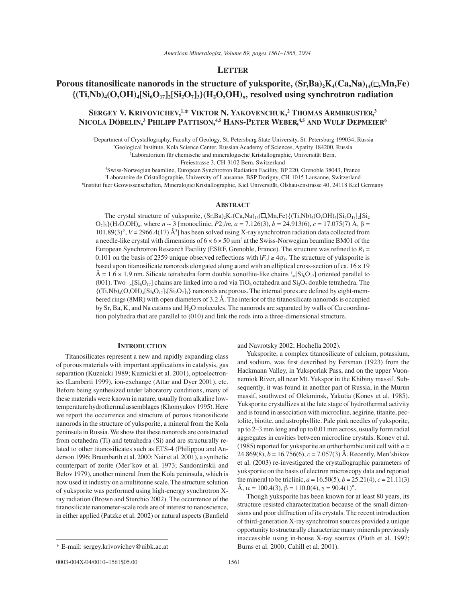## **LETTER**

# **Porous titanosilicate nanorods in the structure of yuksporite,**  $(Sr, Ba)_{2}K_{4}(Ca,Na)_{14}(\Box, Mn,Fe)$  ${(Ti, Nb)_4(O, OH)_4[Si_6O_{17}]_2[Si_2O_7]_3}{(H_2O, OH)_n}$  resolved using synchrotron radiation

# **SERGEY V. KRIVOVICHEV, 1,\* VIKTOR N. YAKOVENCHUK, 2 THOMAS ARMBRUSTER, 3 NICOLA DÖBELIN, 3 PHILIPP PATTISON, 4,5 HANS-PETER WEBER, 4,5 AND WULF DEPMEIER6**

1 Department of Crystallography, Faculty of Geology, St. Petersburg State University, St. Petersburg 199034, Russia 2 Geological Institute, Kola Science Center, Russian Academy of Sciences, Apatity 184200, Russia 3 Laboratorium für chemische and mineralogische Kristallographie, Universität Bern,

Freiestrasse 3, CH-3102 Bern, Switzerland

4 Swiss-Norwegian beamline, European Synchrotron Radiation Facility, BP 220, Grenoble 38043, France 5 Laboratoire de Cristallographie, University of Lausanne, BSP Dorigny, CH-1015 Lausanne, Switzerland 6 Institut fuer Geowissenschaften, Mineralogie/Kristallographie, Kiel Universität, Olshausenstrasse 40, 24118 Kiel Germany

## **ABSTRACT**

The crystal structure of yuksporite,  $(Sr, Ba)_{2}K_{4}(Ca,Na)_{14}(\Box,Mn,Fe)_{4}(Ti,Nb)_{4}(O,OH)_{4}[Si_{6}O_{17}]_{2}[Si_{2}$  $O_7$ <sub>13</sub>}(H<sub>2</sub>O,OH)<sub>n</sub>, where  $n \sim 3$  [monoclinic,  $P2_1/m$ ,  $a = 7.126(3)$ ,  $b = 24.913(6)$ ,  $c = 17.075(7)$  Å,  $\beta =$ 101.89(3)°, *V* = 2966.4(17) Å3 ] has been solved using X-ray synchrotron radiation data collected from a needle-like crystal with dimensions of  $6 \times 6 \times 50 \mu m^3$  at the Swiss-Norwegian beamline BM01 of the European Synchrotron Research Facility (ESRF, Grenoble, France). The structure was refined to  $R_1$  = 0.101 on the basis of 2359 unique observed reflections with  $|F_{o}| \ge 4\sigma_{F}$ . The structure of yuksporite is based upon titanosilicate nanorods elongated along **a** and with an elliptical cross-section of ca. 16 × 19  $\AA = 1.6 \times 1.9$  nm. Silicate tetrahedra form double xonotlite-like chains  $\binom{1}{\infty}$  Si<sub>6</sub>O<sub>17</sub>] oriented parallel to (001). Two  $\frac{1}{8}$ [Si<sub>6</sub>O<sub>17</sub>] chains are linked into a rod via TiO<sub>6</sub> octahedra and Si<sub>2</sub>O<sub>7</sub> double tetrahedra. The  ${(Ti, Nb)_4(O, OH)_4[Si_6O_{17}]_2[Si_2O_7]_3}$  nanorods are porous. The internal pores are defined by eight-membered rings (8MR) with open diameters of 3.2 Å. The interior of the titanosilicate nanorods is occupied by Sr, Ba, K, and Na cations and H2O molecules. The nanorods are separated by walls of Ca coordination polyhedra that are parallel to (010) and link the rods into a three-dimensional structure.

### **INTRODUCTION**

Titanosilicates represent a new and rapidly expanding class of porous materials with important applications in catalysis, gas separation (Kuznicki 1989; Kuznicki et al. 2001), optoelectronics (Lamberti 1999), ion-exchange (Attar and Dyer 2001), etc. Before being synthesized under laboratory conditions, many of these materials were known in nature, usually from alkaline lowtemperature hydrothermal assemblages (Khomyakov 1995). Here we report the occurrence and structure of porous titanosilicate nanorods in the structure of yuksporite, a mineral from the Kola peninsula in Russia. We show that these nanorods are constructed from octahedra (Ti) and tetrahedra (Si) and are structurally related to other titanosilicates such as ETS-4 (Philippou and Anderson 1996; Braunbarth et al. 2000; Nair et al. 2001), a synthetic counterpart of zorite (Mer·kov et al. 1973; Sandomirskii and Belov 1979), another mineral from the Kola peninsula, which is now used in industry on a multitonne scale. The structure solution of yuksporite was performed using high-energy synchrotron Xray radiation (Brown and Sturchio 2002). The occurrence of the titanosilicate nanometer-scale rods are of interest to nanoscience, in either applied (Patzke et al. 2002) or natural aspects (Banfield

and Navrotsky 2002; Hochella 2002).

Yuksporite, a complex titanosilicate of calcium, potassium, and sodium, was first described by Fersman (1923) from the Hackmann Valley, in Yuksporlak Pass, and on the upper Vuonnemiok River, all near Mt. Yukspor in the Khibiny massif. Subsequently, it was found in another part of Russia, in the Murun massif, southwest of Olekminsk, Yakutia (Konev et al. 1985). Yuksporite crystallizes at the late stage of hydrothermal activity and is found in association with microcline, aegirine, titanite, pectolite, biotite, and astrophyllite. Pale pink needles of yuksporite, up to 2–3 mm long and up to 0.01 mm across, usually form radial aggregates in cavities between microcline crystals. Konev et al. (1985) reported for yuksporite an orthorhombic unit cell with  $a =$ 24.869(8),  $b = 16.756(6)$ ,  $c = 7.057(3)$  Å. Recently, Men'shikov et al. (2003) re-investigated the crystallographic parameters of yuksporite on the basis of electron microscopy data and reported the mineral to be triclinic,  $a = 16.50(5)$ ,  $b = 25.21(4)$ ,  $c = 21.11(3)$ Å,  $\alpha = 100.4(3)$ ,  $\beta = 110.0(4)$ ,  $\gamma = 90.4(1)$ °.

Though yuksporite has been known for at least 80 years, its structure resisted characterization because of the small dimensions and poor diffraction of its crystals. The recent introduction of third-generation X-ray synchrotron sources provided a unique opportunity to structurally characterize many minerals previously inaccessible using in-house X-ray sources (Pluth et al. 1997; Burns et al. 2000; Cahill et al. 2001).

<sup>\*</sup> E-mail: sergey.krivovichev@uibk.ac.at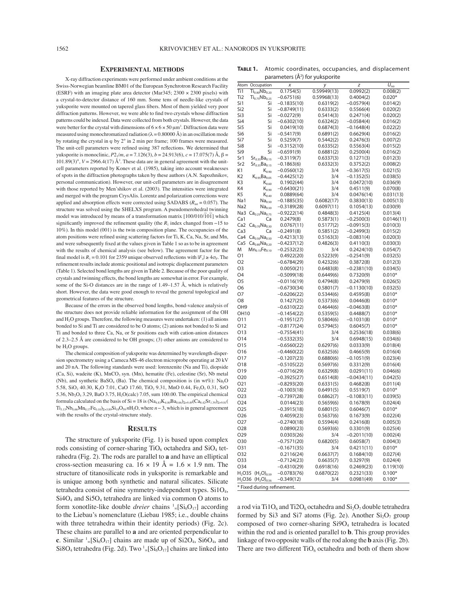#### **EXPERIMENTAL METHODS**

X-ray diffraction experiments were performed under ambient conditions at the Swiss-Norwegian beamline BM01 of the European Synchrotron Research Facility (ESRF) with an imaging plate area detector (Mar $345$ ;  $2300 \times 2300$  pixels) with a crystal-to-detector distance of 160 mm. Some tens of needle-like crystals of yuksporite were mounted on tapered glass fibers. Most of them yielded very poor diffraction patterns. However, we were able to find two crystals whose diffraction patterns could be indexed. Data were collected from both crystals. However, the data were better for the crystal with dimensions of  $6 \times 6 \times 50 \,\mu m^3$ . Diffraction data were measured using monochromatized radiation  $(\lambda = 0.80000 \text{ Å})$  in an oscillation mode by rotating the crystal in  $\varphi$  by  $2^{\circ}$  in 2 min per frame; 100 frames were measured. The unit-cell parameters were refined using 387 reflections. We determined that yuksporite is monoclinic,  $P2_1/m$ ,  $a = 7.126(3)$ ,  $b = 24.913(6)$ ,  $c = 17.075(7)$  Å,  $\beta =$  $101.89(3)$ °,  $V = 2966.4(17)$  Å<sup>3</sup>. These data are in general agreement with the unitcell parameters reported by Konev et al. (1985), taking into account weaknesses of spots in the diffraction photographs taken by these authors (A.N. Sapozhnikov, personal communication). However, our unit-cell parameters are in disagreement with those reported by Men'shikov et al. (2003). The intensities were integrated and merged with the program CrysAlis. Lorentz and polarization corrections were applied and absorption effects were corrected using SADABS ( $R_{int} = 0.057$ ). The structure was solved using the SHELXS program. A pseudomerohedral twinning model was introduced by means of a transformation matrix  $[100/010/101]$  which significantly improved the refinement quality (the  $R_1$  index changed from  $\sim$ 15 to 10%). In this model (001) is the twin composition plane. The occupancies of the atom positions were refined using scattering factors for Ti, K, Ca, Na, Sr, and Mn, and were subsequently fixed at the values given in Table 1 so as to be in agreement with the results of chemical analysis (see below). The agreement factor for the final model is  $R_1 = 0.101$  for 2359 unique observed reflections with  $|F_0| \ge 4\sigma_F$ . The refinement results include atomic positional and isotropic displacement parameters (Table 1). Selected bond lengths are given in Table 2. Because of the poor quality of crystals and twinning effects, the bond lengths are somewhat in error. For example, some of the Si-O distances are in the range of 1.49–1.57 Å, which is relatively short. However, the data were good enough to reveal the general topological and geometrical features of the structure.

Because of the errors in the observed bond lengths, bond-valence analysis of the structure does not provide reliable information for the assignment of the OH and H2O groups. Therefore, the following measures were undertaken: (1) all anions bonded to Si and Ti are considered to be O atoms; (2) anions not bonded to Si and Ti and bonded to three Ca, Na, or Sr positions each with cation-anion distances of 2.3–2.5 Å are considered to be OH groups; (3) other anions are considered to be H<sub>2</sub>O groups.

The chemical composition of yuksporite was determined by wavelength-dispersion spectrometry using a Cameca MS-46 electron microprobe operating at 20 kV and 20 nA. The following standards were used: lorenzenite (Na and Ti), diopside (Ca, Si), wadeite (K), MnCO<sub>3</sub> syn. (Mn), hematite (Fe), celestine (Sr), Nb metal (Nb), and synthetic BaSO<sub>4</sub> (Ba). The chemical composition is (in wt%): Na<sub>2</sub>O 5.58, SiO<sub>2</sub> 40.30, K<sub>2</sub>O 7.01, CaO 17.60, TiO<sub>2</sub> 9.31, MnO 0.44, Fe<sub>2</sub>O<sub>3</sub> 0.31, SrO 5.36,  $Nb_2O_5$  3.29,  $BaO$  3.75,  $H_2O(calc)$  7.05, sum 100.00. The empirical chemical formula calculated on the basis of  $Si = 18$  is  $(Na_{4.83}K_{4.00}Ba_{0.66})_{\Sigma=9.49}(Ca_{8.42}Sr_{1.39})_{\Sigma=9.81}$  $Ti_{3.13}Nb_{0.66}Mn_{0.17}Fe_{0.10}S_{2=3.89}Si_{18}O_{59}nH_2O$ , where  $n \sim 3$ , which is in general agreement with the results of the crystal-structure study.

#### **RESULTS**

The structure of yuksporite (Fig. 1) is based upon complex rods consisting of corner-sharing  $TiO<sub>6</sub>$  octahedra and  $SiO<sub>4</sub>$  tetrahedra (Fig. 2). The rods are parallel to **a** and have an elliptical cross-section measuring ca.  $16 \times 19$  Å =  $1.6 \times 1.9$  nm. The structure of titanosilicate rods in yuksporite is remarkable and is unique among both synthetic and natural silicates. Silicate tetrahedra consist of nine symmetry-independent types.  $Si1O<sub>4</sub>$ ,  $Si4O<sub>4</sub>$  and  $Si5O<sub>4</sub>$  tetrahedra are linked via common O atoms to form xonotlite-like double *dreier* chains  $\binom{1}{\infty}$  [Si<sub>6</sub>O<sub>17</sub>] according to the Liebau's nomenclature (Liebau 1985; i.e., double chains with three tetrahedra within their identity periods) (Fig. 2c). These chains are parallel to **a** and are oriented perpendicular to **c**. Similar  $\frac{1}{2}$ [Si<sub>6</sub>O<sub>17</sub>] chains are made up of Si2O<sub>4</sub>, Si6O<sub>4</sub>, and  $Si8O_4$  tetrahedra (Fig. 2d). Two  $\frac{1}{2}$ [Si<sub>6</sub>O<sub>17</sub>] chains are linked into

| TABLE 1. | Atomic coordinates, occupancies, and displacement |
|----------|---------------------------------------------------|
|          | parameters $(\AA^2)$ for yuksporite               |

|                            |                                    | $p$ aramcters (n / IVI        | <b>yunsported</b>      |                        |                             |  |  |  |  |
|----------------------------|------------------------------------|-------------------------------|------------------------|------------------------|-----------------------------|--|--|--|--|
| Atom                       | Occupation                         | Х                             | у                      | Z                      | $\overline{U}_{\text{iso}}$ |  |  |  |  |
| Ti1                        | $Ti_{0.80}Nb_{0.20}$               | 0.1754(5)                     | 0.59949(13)            | 0.0992(2)              | 0.008(2)                    |  |  |  |  |
| Ti2                        | $Ti_{0.75}Nb_{0.25}$               | $-0.6751(6)$                  | 0.59968(13)            | 0.4004(2)              | $0.020*$                    |  |  |  |  |
| Si1                        | Si                                 | $-0.1835(10)$                 | 0.6319(2)              | $-0.0579(4)$           | 0.014(2)                    |  |  |  |  |
| Si <sub>2</sub>            | Si                                 | $-0.8749(11)$                 | 0.6333(2)              | 0.5566(4)              | 0.020(2)                    |  |  |  |  |
| Si3                        | Si                                 | $-0.0272(9)$                  | 0.5414(3)              | 0.2471(4)              | 0.020(2)                    |  |  |  |  |
| Si4                        | Si                                 | $-0.6302(10)$                 | 0.6324(2)              | $-0.0584(4)$           | 0.016(2)                    |  |  |  |  |
| Si5                        | Si                                 | 0.0419(10)                    | 0.6874(3)              | $-0.1648(4)$           | 0.022(2)                    |  |  |  |  |
| Si6                        | Si<br>Si                           | $-0.5417(9)$                  | 0.6891(2)              | 0.6629(4)              | 0.016(2)                    |  |  |  |  |
| Si7<br>Si8                 | Si                                 | 0.5259(7)                     | 0.5442(2)              | 0.2476(3)              | 0.007(2)                    |  |  |  |  |
| Si9                        | Si                                 | $-0.3152(10)$<br>$-0.6591(9)$ | 0.6335(2)<br>0.6881(2) | 0.5563(4)<br>0.2500(4) | 0.015(2)<br>0.016(2)        |  |  |  |  |
| Sr1                        | $\mathsf{Sr_{0.35}Ba_{0.15}}$      | $-0.3119(7)$                  | 0.6337(3)              | 0.1271(3)              | 0.012(3)                    |  |  |  |  |
| Sr <sub>2</sub>            | $Sr_{0.35}Ba_{0.15}$               | $-0.1863(6)$                  | 0.6332(3)              | 0.3752(2)              | 0.008(2)                    |  |  |  |  |
| Κ1                         | $K_{0.90}$                         | $-0.0560(12)$                 | 3/4                    | $-0.3617(5)$           | 0.021(5)                    |  |  |  |  |
| K2                         | $K_{0.95}Ba_{0.05}$                | $-0.4425(12)$                 | 3/4                    | $-0.1352(5)$           | 0.038(5)                    |  |  |  |  |
| K3                         | $\mathsf{K}_{0.60}$                | 0.1902(44)                    | 3/4                    | 0.0472(10)             | 0.036(9)                    |  |  |  |  |
| K4                         | $K_{0.90}$                         | $-0.6430(21)$                 | 3/4                    | 0.4511(9)              | 0.070(8)                    |  |  |  |  |
| K5                         | $K_{0.40}$                         | 0.0889(64)                    | 3/4                    | 0.0476(14)             | 0.031(13)                   |  |  |  |  |
| Na1                        | Na <sub>0.50</sub>                 | –0.1885(35)                   | 0.6082(17)             | 0.3830(13)             | 0.005(13)                   |  |  |  |  |
| Na <sub>2</sub>            | Na <sub>0.50</sub>                 | $-0.3189(28)$                 | 0.6097(11)             | 0.1054(13)             | 0.030(9)                    |  |  |  |  |
| Na3                        | $Ca_{0.25}Na_{0.75}$               | $-0.9222(14)$                 | 0.4848(3)              | 0.4125(4)              | 0.013(4)                    |  |  |  |  |
| Ca1                        | Ca                                 | 0.2479(8)                     | 0.5873(1)              | $-0.2500(3)$           | 0.0146(11)                  |  |  |  |  |
| Ca2                        | $Ca_{0.70}Na_{0.30}$               | 0.0767(11)                    | 0.5177(2)              | $-0.0915(3)$           | 0.010(3)                    |  |  |  |  |
| Ca3                        | Ca                                 | $-0.2491(8)$                  | 0.5851(2)              | $-0.2499(3)$           | 0.015(2)                    |  |  |  |  |
| Ca4                        | $Ca_{0.50}Na_{0.50}$               | $-0.4213(13)$                 | 0.5163(3)              | –0.0831(4)             | 0.020(3)                    |  |  |  |  |
| Ca5                        | $Ca_{0.80}Na_{0.20}$               | $-0.4237(12)$                 | 0.4826(3)              | 0.4110(3)              | 0.030(3)                    |  |  |  |  |
| M                          | $Mn_{0.15}Fe_{0.10}$               | $-0.2532(23)$                 | 3/4                    | 0.2424(10)             | 0.054(7)                    |  |  |  |  |
| Ο1                         |                                    | 0.4922(20)                    | 0.5223(9)              | –0.2541(9)             | 0.032(5)                    |  |  |  |  |
| O <sub>2</sub>             |                                    | $-0.6784(29)$                 | 0.4232(6)              | 0.3872(8)              | 0.012(3)                    |  |  |  |  |
| O3                         |                                    | 0.0050(21)                    | 0.6483(8)              | $-0.2381(10)$          | 0.034(5)                    |  |  |  |  |
| O4                         |                                    | $-0.5099(18)$                 | 0.6449(6)              | 0.7320(9)              | $0.010*$                    |  |  |  |  |
| O5                         |                                    | $-0.0116(19)$                 | 0.4794(8)              | 0.2479(9)              | 0.026(5)                    |  |  |  |  |
| O6                         |                                    | $-0.6730(34)$                 | 0.5801(7)              | $-0.1130(10)$          | 0.032(5)                    |  |  |  |  |
| 07                         |                                    | $-0.6206(22)$                 | 0.5344(6)              | 0.4595(8)              | $0.010*$                    |  |  |  |  |
| O8                         |                                    | 0.1427(25)                    | 0.5373(6)              | 0.0446(8)              | $0.010*$                    |  |  |  |  |
| OH <sub>9</sub>            |                                    | $-0.6310(22)$                 | 0.4644(6)              | $-0.0463(8)$           | $0.010*$                    |  |  |  |  |
| OH10                       |                                    | $-0.1454(22)$                 | 0.5359(5)              | 0.4488(7)              | $0.010*$                    |  |  |  |  |
| 011                        |                                    | $-0.1951(27)$                 | 0.5804(6)              | –0.1031(8)             | $0.010*$                    |  |  |  |  |
| 012                        |                                    | $-0.8177(24)$                 | 0.5794(5)              | 0.6045(7)              | $0.010*$                    |  |  |  |  |
| 013                        |                                    | $-0.7554(41)$                 | 3/4                    | 0.2536(18)             | 0.038(6)                    |  |  |  |  |
| 014                        |                                    | $-0.5332(35)$                 | 3/4                    | 0.6948(15)             | 0.034(6)                    |  |  |  |  |
| 015                        |                                    | $-0.6560(22)$                 | 0.6297(6)              | 0.0333(9)              | 0.018(4)                    |  |  |  |  |
| 016                        |                                    | $-0.4460(22)$                 | 0.6325(6)              | 0.4665(9)              | 0.016(4)                    |  |  |  |  |
| 017                        |                                    | $-0.1207(23)$                 | 0.6880(6)              | $-0.1051(9)$           | 0.023(4)                    |  |  |  |  |
| 018                        |                                    | $-0.5105(22)$                 | 0.5697(6)              | 0.3312(9)              | 0.016(4)                    |  |  |  |  |
| 019                        |                                    | $-0.0716(29)$                 | 0.6329(8)              | 0.0291(11)             | 0.046(6)                    |  |  |  |  |
| O <sub>20</sub>            |                                    | $-0.3925(27)$                 | 0.6514(8)              | $-0.0434(11)$          | 0.042(5)                    |  |  |  |  |
| 021                        |                                    | $-0.8293(20)$                 | 0.6331(5)              | 0.4682(8)              | 0.011(4)                    |  |  |  |  |
| 022                        |                                    | $-0.1003(18)$                 | 0.6491(5)              | 0.5519(7)              | $0.010*$                    |  |  |  |  |
| 023                        |                                    | $-0.7397(28)$                 | 0.6862(7)              |                        | 0.039(5)                    |  |  |  |  |
| O24                        |                                    | 0.0144(23)                    | 0.5659(6)              | –0.1083(11)            |                             |  |  |  |  |
|                            |                                    | $-0.3915(18)$                 |                        | 0.1678(9)<br>0.6046(7) | 0.024(4)                    |  |  |  |  |
| 025                        |                                    |                               | 0.6801(5)              |                        | $0.010*$                    |  |  |  |  |
| 026                        |                                    | 0.4059(23)                    | 0.5637(6)              | 0.1673(9)              | 0.022(4)                    |  |  |  |  |
| 027                        |                                    | $-0.2740(18)$                 | 0.5594(4)              | 0.2416(8)              | 0.005(3)                    |  |  |  |  |
| 028                        |                                    | 0.0890(23)                    | 0.5693(6)              | 0.3301(9)              | 0.025(4)                    |  |  |  |  |
| 029                        |                                    | 0.0303(26)                    | 3/4                    | $-0.2011(10)$          | 0.002(4)                    |  |  |  |  |
| O30                        |                                    | $-0.7571(20)$                 | 0.6820(5)              | 0.6058(7)              | 0.004(3)                    |  |  |  |  |
| 031                        |                                    | $-0.1671(35)$                 | 3/4                    | 0.4211(11)             | $0.010*$                    |  |  |  |  |
| 032                        |                                    | 0.2116(24)                    | 0.6637(7)              | 0.1684(10)             | 0.027(4)                    |  |  |  |  |
| 033                        |                                    | $-0.7124(23)$                 | 0.6635(7)              | 0.3297(9)              | 0.024(4)                    |  |  |  |  |
| 034                        |                                    | $-0.4310(29)$                 | 0.6918(16)             | 0.2469(23)             | 0.119(10)                   |  |  |  |  |
| $H2$ O35                   | (H <sub>2</sub> O) <sub>0.59</sub> | $-0.0783(76)$                 | 0.6870(22)             | 0.2321(33)             | $0.100*$                    |  |  |  |  |
|                            | $H2$ O36 ( $H2$ O) <sub>0.56</sub> | $-0.349(12)$                  | 3/4                    | 0.0981(49)             | $0.100*$                    |  |  |  |  |
| * Fixed during refinement. |                                    |                               |                        |                        |                             |  |  |  |  |

a rod via Ti1O<sub>6</sub> and Ti2O<sub>6</sub> octahedra and  $Si<sub>2</sub>O<sub>7</sub>$  double tetrahedra formed by Si3 and Si7 atoms (Fig. 2e). Another  $Si<sub>2</sub>O<sub>7</sub>$  group composed of two corner-sharing Si9O<sub>4</sub> tetrahedra is located within the rod and is oriented parallel to **b**. This group provides linkage of two opposite walls of the rod along the **b** axis (Fig. 2b). There are two different  $TiO<sub>6</sub>$  octahedra and both of them show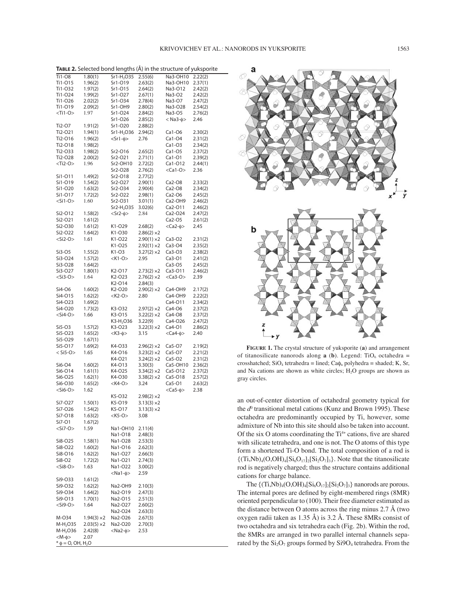| Ti1-08<br>Sr1-H <sub>2</sub> O35<br>2.55(6)<br>Na3-OH10<br>2.22(2)<br>1.80(1)<br>Ti1-015<br>1.96(2)<br>Sr1-019<br>2.63(2)<br>Na3-OH10<br>2.37(1)<br>Sr1-015<br>2.64(2)<br>Na3-012<br>Ti1-032<br>1.97(2)<br>2.42(2)<br>Ti1-024<br>1.99(2)<br>Sr1-O27<br>2.67(1)<br>Na3-O2<br>2.42(2)<br>Ti1-026<br>Sr1-O34<br>2.78(4)<br>Na3-07<br>2.02(2)<br>2.47(2)<br>Ti1-019<br>2.09(2)<br>Sr1-OH9<br>2.80(2)<br>Na3-O28<br>2.54(2)<br><ti1-o><br/>1.97<br/>Sr1-O24<br/>Na3-O5<br/>2.84(2)<br/>2.76(2)<br/>Sr1-O26<br/><math>&lt;</math> Na3-<math>\phi</math>&gt;<br/>2.46<br/>2.85(2)<br/>Ti2-07<br/>Sr1-O20<br/>1.91(2)<br/>2.88(2)<br/>Sr1-H<sub>2</sub>O36<br/>2.94(2)<br/><math>Ca1-06</math><br/>Ti2-021<br/>1.94(1)<br/>2.30(2)<br/>Ti2-016<br/>1.96(2)<br/><math>&lt;</math>Srl-<math>\phi</math>&gt;<br/>2.76<br/><math>Ca1-O4</math><br/>2.31(2)<br/>Ti2-018<br/>1.98(2)<br/><math>Ca1-O3</math><br/>2.34(2)<br/>Ti2-033<br/>1.98(2)<br/>Sr2-O16<br/>2.65(2)<br/><math>Ca1-O5</math><br/>2.37(2)<br/>Ti2-O28<br/>2.00(2)<br/>Sr2-O21<br/>2.71(1)<br/>Ca1-01<br/>2.39(2)<br/><math>&lt;</math>Ti2-O<math>&gt;</math><br/>1.96<br/>Sr2-OH10<br/>Ca1-O12<br/>2.72(2)<br/>2.44(1)<br/>Sr2-O28<br/>2.76(2)<br/><math>&lt;</math>Ca1-O<math>&gt;</math><br/>2.36<br/>Si1-011<br/>1.49(2)<br/>Sr2-O18<br/>2.77(2)<br/>Sr2-O27<br/><math>Ca2-O8</math><br/>Si1-019<br/>1.54(2)<br/>2.90(1)<br/>2.33(2)<br/>Sr2-O34<br/>2.90(4)<br/><math>Ca2-O8</math><br/>2.34(2)<br/>Si1-O20<br/>1.63(2)<br/>Si1-017<br/>Sr2-O22<br/>Ca2-O6<br/>2.45(2)<br/>1.72(2)<br/>2.98(1)<br/><math>&lt;</math>Si1-O&gt;<br/>1.60<br/>Sr2-O31<br/>3.01(1)<br/>Ca2-OH9<br/>2.46(2)<br/>Sr2-H<sub>2</sub>O35<br/>3.02(6)<br/>Ca2-011<br/>2.46(2)<br/>Si2-O12<br/>1.58(2)<br/><math>&lt;</math>Sr2-<math>\phi</math>&gt;<br/>2.84<br/>Ca2-O24<br/>2.47(2)<br/>Si2-O21<br/>Ca2-O5<br/>1.61(2)<br/>2.61(2)<br/>Si2-O30<br/>1.61(2)<br/>K1-029<br/>2.68(2)<br/><math>&lt;</math>Ca2-<math>\phi</math>&gt;<br/>2.45<br/>Si2-O22<br/>1.64(2)<br/>K1-O30<br/><math>2.86(2) \times 2</math><br/><math>&lt;</math>Si2-O<math>&gt;</math><br/>1.61<br/>K1-022<br/><math>2.90(1) \times 2</math><br/><math>Ca3-O2</math><br/>2.31(2)<br/>K1-025<br/><math>2.92(1) \times 2</math><br/>Ca3-04<br/>2.35(2)<br/>K1-O3<br/><math>3.27(2) \times 2</math><br/><math>Ca3-O3</math><br/>Si3-O5<br/>1.55(2)<br/>2.38(2)<br/>Si3-O24<br/>1.57(2)<br/><math>&lt;</math>K1-O<math>&gt;</math><br/>2.95<br/><math>Ca3-O1</math><br/>2.41(2)<br/>Si3-O28<br/>1.64(2)<br/><math>Ca3-O5</math><br/>2.45(2)<br/>Si3-O27<br/>1.80(1)<br/>K<sub>2</sub>-017<br/><math>2.73(2) \times 2</math><br/>Ca3-011<br/>2.46(2)<br/><math>&lt;</math>Si3-O<math>&gt;</math><br/><math>&lt;</math>Ca3-O<math>&gt;</math><br/>1.64<br/>K<sub>2</sub>-023<br/><math>2.76(2) \times 2</math><br/>2.39<br/>K<sub>2</sub>-014<br/>2.84(3)<br/>Si4-O6<br/>1.60(2)<br/>K2-O20<br/><math>2.90(2) \times 2</math><br/>Ca4-OH9<br/>2.17(2)<br/><math>&lt;</math>K2-O&gt;<br/>Si4-015<br/>1.62(2)<br/>2.80<br/>Ca4-OH9<br/>2.22(2)<br/>Si4-O23<br/>Ca4-011<br/>1.69(2)<br/>2.34(2)<br/>Si4-O20<br/>1.73(2)<br/>K3-O32<br/><math>2.97(2) \times 2</math><br/>Ca4-O6<br/>2.37(2)<br/><math>&lt;</math>Si4-O<math>&gt;</math><br/>1.66<br/>K3-015<br/><math>3.22(2) \times 2</math><br/><math>Ca4-O8</math><br/>2.37(2)<br/>K3-H<sub>2</sub>O36<br/>3.22(9)<br/>Ca4-O26<br/>2.47(2)<br/>K3-O23<br/><math>3.22(3) \times 2</math><br/>Ca4-01<br/>Si5-03<br/>1.57(2)<br/>2.86(2)<br/><math>&lt;</math>Ca4-<math>\phi</math>&gt;<br/>Si5-O23<br/>1.65(2)<br/>&lt;К3-ф&gt;<br/>3.15<br/>2.40<br/>Si5-O29<br/>1.67(1)<br/>Si5-017<br/>1.69(2)<br/>K4-033<br/><math>2.96(2) \times 2</math><br/>Ca5-07<br/>2.19(2)<br/><math>&lt;</math> Si5-O<math>&gt;</math><br/>K4-O16<br/><math>3.23(2) \times 2</math><br/>Ca5-O7<br/>2.21(2)<br/>1.65<br/>K4-021<br/><math>3.24(2) \times 2</math><br/><math>Ca5-O2</math><br/>2.31(2)<br/>K4-013<br/>3.30(3)<br/>Ca5-OH10<br/>2.36(2)<br/>Si6-04<br/>1.60(2)<br/>1.61(1)<br/>K4-O25<br/><math>3.34(2) \times 2</math><br/>Si6-014<br/>Ca5-012<br/>2.37(2)<br/>K4-030<br/>Si6-O25<br/>1.62(1)<br/><math>3.38(2) \times 2</math><br/>Ca5-O18<br/>2.57(2)<br/><math>&lt;</math>K4-O&gt;<br/>Si6-O30<br/>3.24<br/><math>Ca5-O1</math><br/>1.65(2)<br/>2.63(2)<br/><math>&lt;</math>Si6-O<math>&gt;</math><br/><math>&lt;</math>Ca5-<math>\phi</math>&gt;<br/>2.38<br/>1.62<br/>K5-032<br/><math>2.98(2) \times 2</math><br/>Si7-O27<br/>1.50(1)<br/>K5-O19<br/><math>3.13(3) \times 2</math><br/>Si7-O26<br/>1.54(2)<br/>K5-017<br/><math>3.13(3) \times 2</math><br/>Si7-018<br/>1.63(2)<br/><k5-o><br/>3.08<br/>Si7-01<br/>1.67(2)<br/><math>&lt;</math>Si7-O<math>&gt;</math><br/>1.59<br/>Na1-OH10<br/>2.11(4)<br/>Na1-018<br/>2.48(3)<br/>Si8-O25<br/>1.58(1)<br/>Na1-O28<br/>2.53(3)<br/>Si8-O22<br/>1.60(2)<br/>Na1-016<br/>2.62(3)<br/>Si8-O16<br/>1.62(2)<br/>Na1-O27<br/>2.66(3)<br/>Si8-O2<br/>1.72(2)<br/>Na1-O21<br/>2.74(3)<br/><math>&lt;</math>Si8-O<math>&gt;</math><br/>1.63<br/>Na1-O22<br/>3.00(2)<br/><math>&lt;</math>Na1-<math>\phi</math>&gt;<br/>2.59<br/>Si9-033<br/>1.61(2)<br/>Si9-O32<br/>1.62(2)<br/>Na2-OH9<br/>2.10(3)<br/>Si9-O34<br/>1.64(2)<br/>Na2-O19<br/>2.47(3)<br/>Si9-013<br/>1.70(1)<br/>Na2-O15<br/>2.51(3)<br/><si9-o><br/>1.64<br/>Na2-O27<br/>2.60(2)<br/>Na2-O24<br/>2.63(3)<br/>M-034<br/><math>1.94(3) \times 2</math><br/>Na2-O26<br/>2.67(3)<br/><math>M-H2O35</math><br/><math>2.03(5) \times 2</math><br/>Na2-O20<br/>2.70(3)<br/>M-H<sub>2</sub>O36<br/><math>&lt;</math>Na2-<math>\phi</math>&gt;<br/>2.53<br/>2.42(8)<br/><math>&lt; M-\phi</math><br/>2.07<br/><math>*</math> <math>\phi</math> = O, OH, H<sub>2</sub>O</si9-o></k5-o></ti1-o> | TABLE 2. Selected bond lengths (Å) in the structure of yuksporite |  |  |  |  |  |  |  |  |  |
|---------------------------------------------------------------------------------------------------------------------------------------------------------------------------------------------------------------------------------------------------------------------------------------------------------------------------------------------------------------------------------------------------------------------------------------------------------------------------------------------------------------------------------------------------------------------------------------------------------------------------------------------------------------------------------------------------------------------------------------------------------------------------------------------------------------------------------------------------------------------------------------------------------------------------------------------------------------------------------------------------------------------------------------------------------------------------------------------------------------------------------------------------------------------------------------------------------------------------------------------------------------------------------------------------------------------------------------------------------------------------------------------------------------------------------------------------------------------------------------------------------------------------------------------------------------------------------------------------------------------------------------------------------------------------------------------------------------------------------------------------------------------------------------------------------------------------------------------------------------------------------------------------------------------------------------------------------------------------------------------------------------------------------------------------------------------------------------------------------------------------------------------------------------------------------------------------------------------------------------------------------------------------------------------------------------------------------------------------------------------------------------------------------------------------------------------------------------------------------------------------------------------------------------------------------------------------------------------------------------------------------------------------------------------------------------------------------------------------------------------------------------------------------------------------------------------------------------------------------------------------------------------------------------------------------------------------------------------------------------------------------------------------------------------------------------------------------------------------------------------------------------------------------------------------------------------------------------------------------------------------------------------------------------------------------------------------------------------------------------------------------------------------------------------------------------------------------------------------------------------------------------------------------------------------------------------------------------------------------------------------------------------------------------------------------------------------------------------------------------------------------------------------------------------------------------------------------------------------------------------------------------------------------------------------------------------------------------------------------------------------------------------------------------------------------------------------------------------------------------------------------------------------------------------------------------------------------------------------------------------------------------------------------------------------------------------------------------------------------------------------------------------------------------------------------------------------------------------------------------------------------------------------------------------------------------------------------------------------------------------------------------------------------------------------------------------------------------------------------------------------------------------------------------------------------------------------------------------------------------------------------------------------------------------------------------------------------------------------------------------------------------------------------------------------------------------------------------------------------------------------------------------------------------------------------------------------------------------------------------------------------------------------------------------------------------------------------------------------------------------------------------------------------------------------------------------------------------------------------------------------------------------------------------------------------------------------------------------------------------------------------------------------------------------------------------------------------------------------------------------|-------------------------------------------------------------------|--|--|--|--|--|--|--|--|--|
|                                                                                                                                                                                                                                                                                                                                                                                                                                                                                                                                                                                                                                                                                                                                                                                                                                                                                                                                                                                                                                                                                                                                                                                                                                                                                                                                                                                                                                                                                                                                                                                                                                                                                                                                                                                                                                                                                                                                                                                                                                                                                                                                                                                                                                                                                                                                                                                                                                                                                                                                                                                                                                                                                                                                                                                                                                                                                                                                                                                                                                                                                                                                                                                                                                                                                                                                                                                                                                                                                                                                                                                                                                                                                                                                                                                                                                                                                                                                                                                                                                                                                                                                                                                                                                                                                                                                                                                                                                                                                                                                                                                                                                                                                                                                                                                                                                                                                                                                                                                                                                                                                                                                                                                                                                                                                                                                                                                                                                                                                                                                                                                                                                                                                                                                             |                                                                   |  |  |  |  |  |  |  |  |  |
|                                                                                                                                                                                                                                                                                                                                                                                                                                                                                                                                                                                                                                                                                                                                                                                                                                                                                                                                                                                                                                                                                                                                                                                                                                                                                                                                                                                                                                                                                                                                                                                                                                                                                                                                                                                                                                                                                                                                                                                                                                                                                                                                                                                                                                                                                                                                                                                                                                                                                                                                                                                                                                                                                                                                                                                                                                                                                                                                                                                                                                                                                                                                                                                                                                                                                                                                                                                                                                                                                                                                                                                                                                                                                                                                                                                                                                                                                                                                                                                                                                                                                                                                                                                                                                                                                                                                                                                                                                                                                                                                                                                                                                                                                                                                                                                                                                                                                                                                                                                                                                                                                                                                                                                                                                                                                                                                                                                                                                                                                                                                                                                                                                                                                                                                             |                                                                   |  |  |  |  |  |  |  |  |  |
|                                                                                                                                                                                                                                                                                                                                                                                                                                                                                                                                                                                                                                                                                                                                                                                                                                                                                                                                                                                                                                                                                                                                                                                                                                                                                                                                                                                                                                                                                                                                                                                                                                                                                                                                                                                                                                                                                                                                                                                                                                                                                                                                                                                                                                                                                                                                                                                                                                                                                                                                                                                                                                                                                                                                                                                                                                                                                                                                                                                                                                                                                                                                                                                                                                                                                                                                                                                                                                                                                                                                                                                                                                                                                                                                                                                                                                                                                                                                                                                                                                                                                                                                                                                                                                                                                                                                                                                                                                                                                                                                                                                                                                                                                                                                                                                                                                                                                                                                                                                                                                                                                                                                                                                                                                                                                                                                                                                                                                                                                                                                                                                                                                                                                                                                             |                                                                   |  |  |  |  |  |  |  |  |  |
|                                                                                                                                                                                                                                                                                                                                                                                                                                                                                                                                                                                                                                                                                                                                                                                                                                                                                                                                                                                                                                                                                                                                                                                                                                                                                                                                                                                                                                                                                                                                                                                                                                                                                                                                                                                                                                                                                                                                                                                                                                                                                                                                                                                                                                                                                                                                                                                                                                                                                                                                                                                                                                                                                                                                                                                                                                                                                                                                                                                                                                                                                                                                                                                                                                                                                                                                                                                                                                                                                                                                                                                                                                                                                                                                                                                                                                                                                                                                                                                                                                                                                                                                                                                                                                                                                                                                                                                                                                                                                                                                                                                                                                                                                                                                                                                                                                                                                                                                                                                                                                                                                                                                                                                                                                                                                                                                                                                                                                                                                                                                                                                                                                                                                                                                             |                                                                   |  |  |  |  |  |  |  |  |  |
|                                                                                                                                                                                                                                                                                                                                                                                                                                                                                                                                                                                                                                                                                                                                                                                                                                                                                                                                                                                                                                                                                                                                                                                                                                                                                                                                                                                                                                                                                                                                                                                                                                                                                                                                                                                                                                                                                                                                                                                                                                                                                                                                                                                                                                                                                                                                                                                                                                                                                                                                                                                                                                                                                                                                                                                                                                                                                                                                                                                                                                                                                                                                                                                                                                                                                                                                                                                                                                                                                                                                                                                                                                                                                                                                                                                                                                                                                                                                                                                                                                                                                                                                                                                                                                                                                                                                                                                                                                                                                                                                                                                                                                                                                                                                                                                                                                                                                                                                                                                                                                                                                                                                                                                                                                                                                                                                                                                                                                                                                                                                                                                                                                                                                                                                             |                                                                   |  |  |  |  |  |  |  |  |  |
|                                                                                                                                                                                                                                                                                                                                                                                                                                                                                                                                                                                                                                                                                                                                                                                                                                                                                                                                                                                                                                                                                                                                                                                                                                                                                                                                                                                                                                                                                                                                                                                                                                                                                                                                                                                                                                                                                                                                                                                                                                                                                                                                                                                                                                                                                                                                                                                                                                                                                                                                                                                                                                                                                                                                                                                                                                                                                                                                                                                                                                                                                                                                                                                                                                                                                                                                                                                                                                                                                                                                                                                                                                                                                                                                                                                                                                                                                                                                                                                                                                                                                                                                                                                                                                                                                                                                                                                                                                                                                                                                                                                                                                                                                                                                                                                                                                                                                                                                                                                                                                                                                                                                                                                                                                                                                                                                                                                                                                                                                                                                                                                                                                                                                                                                             |                                                                   |  |  |  |  |  |  |  |  |  |
|                                                                                                                                                                                                                                                                                                                                                                                                                                                                                                                                                                                                                                                                                                                                                                                                                                                                                                                                                                                                                                                                                                                                                                                                                                                                                                                                                                                                                                                                                                                                                                                                                                                                                                                                                                                                                                                                                                                                                                                                                                                                                                                                                                                                                                                                                                                                                                                                                                                                                                                                                                                                                                                                                                                                                                                                                                                                                                                                                                                                                                                                                                                                                                                                                                                                                                                                                                                                                                                                                                                                                                                                                                                                                                                                                                                                                                                                                                                                                                                                                                                                                                                                                                                                                                                                                                                                                                                                                                                                                                                                                                                                                                                                                                                                                                                                                                                                                                                                                                                                                                                                                                                                                                                                                                                                                                                                                                                                                                                                                                                                                                                                                                                                                                                                             |                                                                   |  |  |  |  |  |  |  |  |  |
|                                                                                                                                                                                                                                                                                                                                                                                                                                                                                                                                                                                                                                                                                                                                                                                                                                                                                                                                                                                                                                                                                                                                                                                                                                                                                                                                                                                                                                                                                                                                                                                                                                                                                                                                                                                                                                                                                                                                                                                                                                                                                                                                                                                                                                                                                                                                                                                                                                                                                                                                                                                                                                                                                                                                                                                                                                                                                                                                                                                                                                                                                                                                                                                                                                                                                                                                                                                                                                                                                                                                                                                                                                                                                                                                                                                                                                                                                                                                                                                                                                                                                                                                                                                                                                                                                                                                                                                                                                                                                                                                                                                                                                                                                                                                                                                                                                                                                                                                                                                                                                                                                                                                                                                                                                                                                                                                                                                                                                                                                                                                                                                                                                                                                                                                             |                                                                   |  |  |  |  |  |  |  |  |  |
|                                                                                                                                                                                                                                                                                                                                                                                                                                                                                                                                                                                                                                                                                                                                                                                                                                                                                                                                                                                                                                                                                                                                                                                                                                                                                                                                                                                                                                                                                                                                                                                                                                                                                                                                                                                                                                                                                                                                                                                                                                                                                                                                                                                                                                                                                                                                                                                                                                                                                                                                                                                                                                                                                                                                                                                                                                                                                                                                                                                                                                                                                                                                                                                                                                                                                                                                                                                                                                                                                                                                                                                                                                                                                                                                                                                                                                                                                                                                                                                                                                                                                                                                                                                                                                                                                                                                                                                                                                                                                                                                                                                                                                                                                                                                                                                                                                                                                                                                                                                                                                                                                                                                                                                                                                                                                                                                                                                                                                                                                                                                                                                                                                                                                                                                             |                                                                   |  |  |  |  |  |  |  |  |  |
|                                                                                                                                                                                                                                                                                                                                                                                                                                                                                                                                                                                                                                                                                                                                                                                                                                                                                                                                                                                                                                                                                                                                                                                                                                                                                                                                                                                                                                                                                                                                                                                                                                                                                                                                                                                                                                                                                                                                                                                                                                                                                                                                                                                                                                                                                                                                                                                                                                                                                                                                                                                                                                                                                                                                                                                                                                                                                                                                                                                                                                                                                                                                                                                                                                                                                                                                                                                                                                                                                                                                                                                                                                                                                                                                                                                                                                                                                                                                                                                                                                                                                                                                                                                                                                                                                                                                                                                                                                                                                                                                                                                                                                                                                                                                                                                                                                                                                                                                                                                                                                                                                                                                                                                                                                                                                                                                                                                                                                                                                                                                                                                                                                                                                                                                             |                                                                   |  |  |  |  |  |  |  |  |  |
|                                                                                                                                                                                                                                                                                                                                                                                                                                                                                                                                                                                                                                                                                                                                                                                                                                                                                                                                                                                                                                                                                                                                                                                                                                                                                                                                                                                                                                                                                                                                                                                                                                                                                                                                                                                                                                                                                                                                                                                                                                                                                                                                                                                                                                                                                                                                                                                                                                                                                                                                                                                                                                                                                                                                                                                                                                                                                                                                                                                                                                                                                                                                                                                                                                                                                                                                                                                                                                                                                                                                                                                                                                                                                                                                                                                                                                                                                                                                                                                                                                                                                                                                                                                                                                                                                                                                                                                                                                                                                                                                                                                                                                                                                                                                                                                                                                                                                                                                                                                                                                                                                                                                                                                                                                                                                                                                                                                                                                                                                                                                                                                                                                                                                                                                             |                                                                   |  |  |  |  |  |  |  |  |  |
|                                                                                                                                                                                                                                                                                                                                                                                                                                                                                                                                                                                                                                                                                                                                                                                                                                                                                                                                                                                                                                                                                                                                                                                                                                                                                                                                                                                                                                                                                                                                                                                                                                                                                                                                                                                                                                                                                                                                                                                                                                                                                                                                                                                                                                                                                                                                                                                                                                                                                                                                                                                                                                                                                                                                                                                                                                                                                                                                                                                                                                                                                                                                                                                                                                                                                                                                                                                                                                                                                                                                                                                                                                                                                                                                                                                                                                                                                                                                                                                                                                                                                                                                                                                                                                                                                                                                                                                                                                                                                                                                                                                                                                                                                                                                                                                                                                                                                                                                                                                                                                                                                                                                                                                                                                                                                                                                                                                                                                                                                                                                                                                                                                                                                                                                             |                                                                   |  |  |  |  |  |  |  |  |  |
|                                                                                                                                                                                                                                                                                                                                                                                                                                                                                                                                                                                                                                                                                                                                                                                                                                                                                                                                                                                                                                                                                                                                                                                                                                                                                                                                                                                                                                                                                                                                                                                                                                                                                                                                                                                                                                                                                                                                                                                                                                                                                                                                                                                                                                                                                                                                                                                                                                                                                                                                                                                                                                                                                                                                                                                                                                                                                                                                                                                                                                                                                                                                                                                                                                                                                                                                                                                                                                                                                                                                                                                                                                                                                                                                                                                                                                                                                                                                                                                                                                                                                                                                                                                                                                                                                                                                                                                                                                                                                                                                                                                                                                                                                                                                                                                                                                                                                                                                                                                                                                                                                                                                                                                                                                                                                                                                                                                                                                                                                                                                                                                                                                                                                                                                             |                                                                   |  |  |  |  |  |  |  |  |  |
|                                                                                                                                                                                                                                                                                                                                                                                                                                                                                                                                                                                                                                                                                                                                                                                                                                                                                                                                                                                                                                                                                                                                                                                                                                                                                                                                                                                                                                                                                                                                                                                                                                                                                                                                                                                                                                                                                                                                                                                                                                                                                                                                                                                                                                                                                                                                                                                                                                                                                                                                                                                                                                                                                                                                                                                                                                                                                                                                                                                                                                                                                                                                                                                                                                                                                                                                                                                                                                                                                                                                                                                                                                                                                                                                                                                                                                                                                                                                                                                                                                                                                                                                                                                                                                                                                                                                                                                                                                                                                                                                                                                                                                                                                                                                                                                                                                                                                                                                                                                                                                                                                                                                                                                                                                                                                                                                                                                                                                                                                                                                                                                                                                                                                                                                             |                                                                   |  |  |  |  |  |  |  |  |  |
|                                                                                                                                                                                                                                                                                                                                                                                                                                                                                                                                                                                                                                                                                                                                                                                                                                                                                                                                                                                                                                                                                                                                                                                                                                                                                                                                                                                                                                                                                                                                                                                                                                                                                                                                                                                                                                                                                                                                                                                                                                                                                                                                                                                                                                                                                                                                                                                                                                                                                                                                                                                                                                                                                                                                                                                                                                                                                                                                                                                                                                                                                                                                                                                                                                                                                                                                                                                                                                                                                                                                                                                                                                                                                                                                                                                                                                                                                                                                                                                                                                                                                                                                                                                                                                                                                                                                                                                                                                                                                                                                                                                                                                                                                                                                                                                                                                                                                                                                                                                                                                                                                                                                                                                                                                                                                                                                                                                                                                                                                                                                                                                                                                                                                                                                             |                                                                   |  |  |  |  |  |  |  |  |  |
|                                                                                                                                                                                                                                                                                                                                                                                                                                                                                                                                                                                                                                                                                                                                                                                                                                                                                                                                                                                                                                                                                                                                                                                                                                                                                                                                                                                                                                                                                                                                                                                                                                                                                                                                                                                                                                                                                                                                                                                                                                                                                                                                                                                                                                                                                                                                                                                                                                                                                                                                                                                                                                                                                                                                                                                                                                                                                                                                                                                                                                                                                                                                                                                                                                                                                                                                                                                                                                                                                                                                                                                                                                                                                                                                                                                                                                                                                                                                                                                                                                                                                                                                                                                                                                                                                                                                                                                                                                                                                                                                                                                                                                                                                                                                                                                                                                                                                                                                                                                                                                                                                                                                                                                                                                                                                                                                                                                                                                                                                                                                                                                                                                                                                                                                             |                                                                   |  |  |  |  |  |  |  |  |  |
|                                                                                                                                                                                                                                                                                                                                                                                                                                                                                                                                                                                                                                                                                                                                                                                                                                                                                                                                                                                                                                                                                                                                                                                                                                                                                                                                                                                                                                                                                                                                                                                                                                                                                                                                                                                                                                                                                                                                                                                                                                                                                                                                                                                                                                                                                                                                                                                                                                                                                                                                                                                                                                                                                                                                                                                                                                                                                                                                                                                                                                                                                                                                                                                                                                                                                                                                                                                                                                                                                                                                                                                                                                                                                                                                                                                                                                                                                                                                                                                                                                                                                                                                                                                                                                                                                                                                                                                                                                                                                                                                                                                                                                                                                                                                                                                                                                                                                                                                                                                                                                                                                                                                                                                                                                                                                                                                                                                                                                                                                                                                                                                                                                                                                                                                             |                                                                   |  |  |  |  |  |  |  |  |  |
|                                                                                                                                                                                                                                                                                                                                                                                                                                                                                                                                                                                                                                                                                                                                                                                                                                                                                                                                                                                                                                                                                                                                                                                                                                                                                                                                                                                                                                                                                                                                                                                                                                                                                                                                                                                                                                                                                                                                                                                                                                                                                                                                                                                                                                                                                                                                                                                                                                                                                                                                                                                                                                                                                                                                                                                                                                                                                                                                                                                                                                                                                                                                                                                                                                                                                                                                                                                                                                                                                                                                                                                                                                                                                                                                                                                                                                                                                                                                                                                                                                                                                                                                                                                                                                                                                                                                                                                                                                                                                                                                                                                                                                                                                                                                                                                                                                                                                                                                                                                                                                                                                                                                                                                                                                                                                                                                                                                                                                                                                                                                                                                                                                                                                                                                             |                                                                   |  |  |  |  |  |  |  |  |  |
|                                                                                                                                                                                                                                                                                                                                                                                                                                                                                                                                                                                                                                                                                                                                                                                                                                                                                                                                                                                                                                                                                                                                                                                                                                                                                                                                                                                                                                                                                                                                                                                                                                                                                                                                                                                                                                                                                                                                                                                                                                                                                                                                                                                                                                                                                                                                                                                                                                                                                                                                                                                                                                                                                                                                                                                                                                                                                                                                                                                                                                                                                                                                                                                                                                                                                                                                                                                                                                                                                                                                                                                                                                                                                                                                                                                                                                                                                                                                                                                                                                                                                                                                                                                                                                                                                                                                                                                                                                                                                                                                                                                                                                                                                                                                                                                                                                                                                                                                                                                                                                                                                                                                                                                                                                                                                                                                                                                                                                                                                                                                                                                                                                                                                                                                             |                                                                   |  |  |  |  |  |  |  |  |  |
|                                                                                                                                                                                                                                                                                                                                                                                                                                                                                                                                                                                                                                                                                                                                                                                                                                                                                                                                                                                                                                                                                                                                                                                                                                                                                                                                                                                                                                                                                                                                                                                                                                                                                                                                                                                                                                                                                                                                                                                                                                                                                                                                                                                                                                                                                                                                                                                                                                                                                                                                                                                                                                                                                                                                                                                                                                                                                                                                                                                                                                                                                                                                                                                                                                                                                                                                                                                                                                                                                                                                                                                                                                                                                                                                                                                                                                                                                                                                                                                                                                                                                                                                                                                                                                                                                                                                                                                                                                                                                                                                                                                                                                                                                                                                                                                                                                                                                                                                                                                                                                                                                                                                                                                                                                                                                                                                                                                                                                                                                                                                                                                                                                                                                                                                             |                                                                   |  |  |  |  |  |  |  |  |  |
|                                                                                                                                                                                                                                                                                                                                                                                                                                                                                                                                                                                                                                                                                                                                                                                                                                                                                                                                                                                                                                                                                                                                                                                                                                                                                                                                                                                                                                                                                                                                                                                                                                                                                                                                                                                                                                                                                                                                                                                                                                                                                                                                                                                                                                                                                                                                                                                                                                                                                                                                                                                                                                                                                                                                                                                                                                                                                                                                                                                                                                                                                                                                                                                                                                                                                                                                                                                                                                                                                                                                                                                                                                                                                                                                                                                                                                                                                                                                                                                                                                                                                                                                                                                                                                                                                                                                                                                                                                                                                                                                                                                                                                                                                                                                                                                                                                                                                                                                                                                                                                                                                                                                                                                                                                                                                                                                                                                                                                                                                                                                                                                                                                                                                                                                             |                                                                   |  |  |  |  |  |  |  |  |  |
|                                                                                                                                                                                                                                                                                                                                                                                                                                                                                                                                                                                                                                                                                                                                                                                                                                                                                                                                                                                                                                                                                                                                                                                                                                                                                                                                                                                                                                                                                                                                                                                                                                                                                                                                                                                                                                                                                                                                                                                                                                                                                                                                                                                                                                                                                                                                                                                                                                                                                                                                                                                                                                                                                                                                                                                                                                                                                                                                                                                                                                                                                                                                                                                                                                                                                                                                                                                                                                                                                                                                                                                                                                                                                                                                                                                                                                                                                                                                                                                                                                                                                                                                                                                                                                                                                                                                                                                                                                                                                                                                                                                                                                                                                                                                                                                                                                                                                                                                                                                                                                                                                                                                                                                                                                                                                                                                                                                                                                                                                                                                                                                                                                                                                                                                             |                                                                   |  |  |  |  |  |  |  |  |  |
|                                                                                                                                                                                                                                                                                                                                                                                                                                                                                                                                                                                                                                                                                                                                                                                                                                                                                                                                                                                                                                                                                                                                                                                                                                                                                                                                                                                                                                                                                                                                                                                                                                                                                                                                                                                                                                                                                                                                                                                                                                                                                                                                                                                                                                                                                                                                                                                                                                                                                                                                                                                                                                                                                                                                                                                                                                                                                                                                                                                                                                                                                                                                                                                                                                                                                                                                                                                                                                                                                                                                                                                                                                                                                                                                                                                                                                                                                                                                                                                                                                                                                                                                                                                                                                                                                                                                                                                                                                                                                                                                                                                                                                                                                                                                                                                                                                                                                                                                                                                                                                                                                                                                                                                                                                                                                                                                                                                                                                                                                                                                                                                                                                                                                                                                             |                                                                   |  |  |  |  |  |  |  |  |  |
|                                                                                                                                                                                                                                                                                                                                                                                                                                                                                                                                                                                                                                                                                                                                                                                                                                                                                                                                                                                                                                                                                                                                                                                                                                                                                                                                                                                                                                                                                                                                                                                                                                                                                                                                                                                                                                                                                                                                                                                                                                                                                                                                                                                                                                                                                                                                                                                                                                                                                                                                                                                                                                                                                                                                                                                                                                                                                                                                                                                                                                                                                                                                                                                                                                                                                                                                                                                                                                                                                                                                                                                                                                                                                                                                                                                                                                                                                                                                                                                                                                                                                                                                                                                                                                                                                                                                                                                                                                                                                                                                                                                                                                                                                                                                                                                                                                                                                                                                                                                                                                                                                                                                                                                                                                                                                                                                                                                                                                                                                                                                                                                                                                                                                                                                             |                                                                   |  |  |  |  |  |  |  |  |  |
|                                                                                                                                                                                                                                                                                                                                                                                                                                                                                                                                                                                                                                                                                                                                                                                                                                                                                                                                                                                                                                                                                                                                                                                                                                                                                                                                                                                                                                                                                                                                                                                                                                                                                                                                                                                                                                                                                                                                                                                                                                                                                                                                                                                                                                                                                                                                                                                                                                                                                                                                                                                                                                                                                                                                                                                                                                                                                                                                                                                                                                                                                                                                                                                                                                                                                                                                                                                                                                                                                                                                                                                                                                                                                                                                                                                                                                                                                                                                                                                                                                                                                                                                                                                                                                                                                                                                                                                                                                                                                                                                                                                                                                                                                                                                                                                                                                                                                                                                                                                                                                                                                                                                                                                                                                                                                                                                                                                                                                                                                                                                                                                                                                                                                                                                             |                                                                   |  |  |  |  |  |  |  |  |  |
|                                                                                                                                                                                                                                                                                                                                                                                                                                                                                                                                                                                                                                                                                                                                                                                                                                                                                                                                                                                                                                                                                                                                                                                                                                                                                                                                                                                                                                                                                                                                                                                                                                                                                                                                                                                                                                                                                                                                                                                                                                                                                                                                                                                                                                                                                                                                                                                                                                                                                                                                                                                                                                                                                                                                                                                                                                                                                                                                                                                                                                                                                                                                                                                                                                                                                                                                                                                                                                                                                                                                                                                                                                                                                                                                                                                                                                                                                                                                                                                                                                                                                                                                                                                                                                                                                                                                                                                                                                                                                                                                                                                                                                                                                                                                                                                                                                                                                                                                                                                                                                                                                                                                                                                                                                                                                                                                                                                                                                                                                                                                                                                                                                                                                                                                             |                                                                   |  |  |  |  |  |  |  |  |  |
|                                                                                                                                                                                                                                                                                                                                                                                                                                                                                                                                                                                                                                                                                                                                                                                                                                                                                                                                                                                                                                                                                                                                                                                                                                                                                                                                                                                                                                                                                                                                                                                                                                                                                                                                                                                                                                                                                                                                                                                                                                                                                                                                                                                                                                                                                                                                                                                                                                                                                                                                                                                                                                                                                                                                                                                                                                                                                                                                                                                                                                                                                                                                                                                                                                                                                                                                                                                                                                                                                                                                                                                                                                                                                                                                                                                                                                                                                                                                                                                                                                                                                                                                                                                                                                                                                                                                                                                                                                                                                                                                                                                                                                                                                                                                                                                                                                                                                                                                                                                                                                                                                                                                                                                                                                                                                                                                                                                                                                                                                                                                                                                                                                                                                                                                             |                                                                   |  |  |  |  |  |  |  |  |  |
|                                                                                                                                                                                                                                                                                                                                                                                                                                                                                                                                                                                                                                                                                                                                                                                                                                                                                                                                                                                                                                                                                                                                                                                                                                                                                                                                                                                                                                                                                                                                                                                                                                                                                                                                                                                                                                                                                                                                                                                                                                                                                                                                                                                                                                                                                                                                                                                                                                                                                                                                                                                                                                                                                                                                                                                                                                                                                                                                                                                                                                                                                                                                                                                                                                                                                                                                                                                                                                                                                                                                                                                                                                                                                                                                                                                                                                                                                                                                                                                                                                                                                                                                                                                                                                                                                                                                                                                                                                                                                                                                                                                                                                                                                                                                                                                                                                                                                                                                                                                                                                                                                                                                                                                                                                                                                                                                                                                                                                                                                                                                                                                                                                                                                                                                             |                                                                   |  |  |  |  |  |  |  |  |  |
|                                                                                                                                                                                                                                                                                                                                                                                                                                                                                                                                                                                                                                                                                                                                                                                                                                                                                                                                                                                                                                                                                                                                                                                                                                                                                                                                                                                                                                                                                                                                                                                                                                                                                                                                                                                                                                                                                                                                                                                                                                                                                                                                                                                                                                                                                                                                                                                                                                                                                                                                                                                                                                                                                                                                                                                                                                                                                                                                                                                                                                                                                                                                                                                                                                                                                                                                                                                                                                                                                                                                                                                                                                                                                                                                                                                                                                                                                                                                                                                                                                                                                                                                                                                                                                                                                                                                                                                                                                                                                                                                                                                                                                                                                                                                                                                                                                                                                                                                                                                                                                                                                                                                                                                                                                                                                                                                                                                                                                                                                                                                                                                                                                                                                                                                             |                                                                   |  |  |  |  |  |  |  |  |  |
|                                                                                                                                                                                                                                                                                                                                                                                                                                                                                                                                                                                                                                                                                                                                                                                                                                                                                                                                                                                                                                                                                                                                                                                                                                                                                                                                                                                                                                                                                                                                                                                                                                                                                                                                                                                                                                                                                                                                                                                                                                                                                                                                                                                                                                                                                                                                                                                                                                                                                                                                                                                                                                                                                                                                                                                                                                                                                                                                                                                                                                                                                                                                                                                                                                                                                                                                                                                                                                                                                                                                                                                                                                                                                                                                                                                                                                                                                                                                                                                                                                                                                                                                                                                                                                                                                                                                                                                                                                                                                                                                                                                                                                                                                                                                                                                                                                                                                                                                                                                                                                                                                                                                                                                                                                                                                                                                                                                                                                                                                                                                                                                                                                                                                                                                             |                                                                   |  |  |  |  |  |  |  |  |  |
|                                                                                                                                                                                                                                                                                                                                                                                                                                                                                                                                                                                                                                                                                                                                                                                                                                                                                                                                                                                                                                                                                                                                                                                                                                                                                                                                                                                                                                                                                                                                                                                                                                                                                                                                                                                                                                                                                                                                                                                                                                                                                                                                                                                                                                                                                                                                                                                                                                                                                                                                                                                                                                                                                                                                                                                                                                                                                                                                                                                                                                                                                                                                                                                                                                                                                                                                                                                                                                                                                                                                                                                                                                                                                                                                                                                                                                                                                                                                                                                                                                                                                                                                                                                                                                                                                                                                                                                                                                                                                                                                                                                                                                                                                                                                                                                                                                                                                                                                                                                                                                                                                                                                                                                                                                                                                                                                                                                                                                                                                                                                                                                                                                                                                                                                             |                                                                   |  |  |  |  |  |  |  |  |  |
|                                                                                                                                                                                                                                                                                                                                                                                                                                                                                                                                                                                                                                                                                                                                                                                                                                                                                                                                                                                                                                                                                                                                                                                                                                                                                                                                                                                                                                                                                                                                                                                                                                                                                                                                                                                                                                                                                                                                                                                                                                                                                                                                                                                                                                                                                                                                                                                                                                                                                                                                                                                                                                                                                                                                                                                                                                                                                                                                                                                                                                                                                                                                                                                                                                                                                                                                                                                                                                                                                                                                                                                                                                                                                                                                                                                                                                                                                                                                                                                                                                                                                                                                                                                                                                                                                                                                                                                                                                                                                                                                                                                                                                                                                                                                                                                                                                                                                                                                                                                                                                                                                                                                                                                                                                                                                                                                                                                                                                                                                                                                                                                                                                                                                                                                             |                                                                   |  |  |  |  |  |  |  |  |  |
|                                                                                                                                                                                                                                                                                                                                                                                                                                                                                                                                                                                                                                                                                                                                                                                                                                                                                                                                                                                                                                                                                                                                                                                                                                                                                                                                                                                                                                                                                                                                                                                                                                                                                                                                                                                                                                                                                                                                                                                                                                                                                                                                                                                                                                                                                                                                                                                                                                                                                                                                                                                                                                                                                                                                                                                                                                                                                                                                                                                                                                                                                                                                                                                                                                                                                                                                                                                                                                                                                                                                                                                                                                                                                                                                                                                                                                                                                                                                                                                                                                                                                                                                                                                                                                                                                                                                                                                                                                                                                                                                                                                                                                                                                                                                                                                                                                                                                                                                                                                                                                                                                                                                                                                                                                                                                                                                                                                                                                                                                                                                                                                                                                                                                                                                             |                                                                   |  |  |  |  |  |  |  |  |  |
|                                                                                                                                                                                                                                                                                                                                                                                                                                                                                                                                                                                                                                                                                                                                                                                                                                                                                                                                                                                                                                                                                                                                                                                                                                                                                                                                                                                                                                                                                                                                                                                                                                                                                                                                                                                                                                                                                                                                                                                                                                                                                                                                                                                                                                                                                                                                                                                                                                                                                                                                                                                                                                                                                                                                                                                                                                                                                                                                                                                                                                                                                                                                                                                                                                                                                                                                                                                                                                                                                                                                                                                                                                                                                                                                                                                                                                                                                                                                                                                                                                                                                                                                                                                                                                                                                                                                                                                                                                                                                                                                                                                                                                                                                                                                                                                                                                                                                                                                                                                                                                                                                                                                                                                                                                                                                                                                                                                                                                                                                                                                                                                                                                                                                                                                             |                                                                   |  |  |  |  |  |  |  |  |  |
|                                                                                                                                                                                                                                                                                                                                                                                                                                                                                                                                                                                                                                                                                                                                                                                                                                                                                                                                                                                                                                                                                                                                                                                                                                                                                                                                                                                                                                                                                                                                                                                                                                                                                                                                                                                                                                                                                                                                                                                                                                                                                                                                                                                                                                                                                                                                                                                                                                                                                                                                                                                                                                                                                                                                                                                                                                                                                                                                                                                                                                                                                                                                                                                                                                                                                                                                                                                                                                                                                                                                                                                                                                                                                                                                                                                                                                                                                                                                                                                                                                                                                                                                                                                                                                                                                                                                                                                                                                                                                                                                                                                                                                                                                                                                                                                                                                                                                                                                                                                                                                                                                                                                                                                                                                                                                                                                                                                                                                                                                                                                                                                                                                                                                                                                             |                                                                   |  |  |  |  |  |  |  |  |  |
|                                                                                                                                                                                                                                                                                                                                                                                                                                                                                                                                                                                                                                                                                                                                                                                                                                                                                                                                                                                                                                                                                                                                                                                                                                                                                                                                                                                                                                                                                                                                                                                                                                                                                                                                                                                                                                                                                                                                                                                                                                                                                                                                                                                                                                                                                                                                                                                                                                                                                                                                                                                                                                                                                                                                                                                                                                                                                                                                                                                                                                                                                                                                                                                                                                                                                                                                                                                                                                                                                                                                                                                                                                                                                                                                                                                                                                                                                                                                                                                                                                                                                                                                                                                                                                                                                                                                                                                                                                                                                                                                                                                                                                                                                                                                                                                                                                                                                                                                                                                                                                                                                                                                                                                                                                                                                                                                                                                                                                                                                                                                                                                                                                                                                                                                             |                                                                   |  |  |  |  |  |  |  |  |  |
|                                                                                                                                                                                                                                                                                                                                                                                                                                                                                                                                                                                                                                                                                                                                                                                                                                                                                                                                                                                                                                                                                                                                                                                                                                                                                                                                                                                                                                                                                                                                                                                                                                                                                                                                                                                                                                                                                                                                                                                                                                                                                                                                                                                                                                                                                                                                                                                                                                                                                                                                                                                                                                                                                                                                                                                                                                                                                                                                                                                                                                                                                                                                                                                                                                                                                                                                                                                                                                                                                                                                                                                                                                                                                                                                                                                                                                                                                                                                                                                                                                                                                                                                                                                                                                                                                                                                                                                                                                                                                                                                                                                                                                                                                                                                                                                                                                                                                                                                                                                                                                                                                                                                                                                                                                                                                                                                                                                                                                                                                                                                                                                                                                                                                                                                             |                                                                   |  |  |  |  |  |  |  |  |  |
|                                                                                                                                                                                                                                                                                                                                                                                                                                                                                                                                                                                                                                                                                                                                                                                                                                                                                                                                                                                                                                                                                                                                                                                                                                                                                                                                                                                                                                                                                                                                                                                                                                                                                                                                                                                                                                                                                                                                                                                                                                                                                                                                                                                                                                                                                                                                                                                                                                                                                                                                                                                                                                                                                                                                                                                                                                                                                                                                                                                                                                                                                                                                                                                                                                                                                                                                                                                                                                                                                                                                                                                                                                                                                                                                                                                                                                                                                                                                                                                                                                                                                                                                                                                                                                                                                                                                                                                                                                                                                                                                                                                                                                                                                                                                                                                                                                                                                                                                                                                                                                                                                                                                                                                                                                                                                                                                                                                                                                                                                                                                                                                                                                                                                                                                             |                                                                   |  |  |  |  |  |  |  |  |  |
|                                                                                                                                                                                                                                                                                                                                                                                                                                                                                                                                                                                                                                                                                                                                                                                                                                                                                                                                                                                                                                                                                                                                                                                                                                                                                                                                                                                                                                                                                                                                                                                                                                                                                                                                                                                                                                                                                                                                                                                                                                                                                                                                                                                                                                                                                                                                                                                                                                                                                                                                                                                                                                                                                                                                                                                                                                                                                                                                                                                                                                                                                                                                                                                                                                                                                                                                                                                                                                                                                                                                                                                                                                                                                                                                                                                                                                                                                                                                                                                                                                                                                                                                                                                                                                                                                                                                                                                                                                                                                                                                                                                                                                                                                                                                                                                                                                                                                                                                                                                                                                                                                                                                                                                                                                                                                                                                                                                                                                                                                                                                                                                                                                                                                                                                             |                                                                   |  |  |  |  |  |  |  |  |  |
|                                                                                                                                                                                                                                                                                                                                                                                                                                                                                                                                                                                                                                                                                                                                                                                                                                                                                                                                                                                                                                                                                                                                                                                                                                                                                                                                                                                                                                                                                                                                                                                                                                                                                                                                                                                                                                                                                                                                                                                                                                                                                                                                                                                                                                                                                                                                                                                                                                                                                                                                                                                                                                                                                                                                                                                                                                                                                                                                                                                                                                                                                                                                                                                                                                                                                                                                                                                                                                                                                                                                                                                                                                                                                                                                                                                                                                                                                                                                                                                                                                                                                                                                                                                                                                                                                                                                                                                                                                                                                                                                                                                                                                                                                                                                                                                                                                                                                                                                                                                                                                                                                                                                                                                                                                                                                                                                                                                                                                                                                                                                                                                                                                                                                                                                             |                                                                   |  |  |  |  |  |  |  |  |  |
|                                                                                                                                                                                                                                                                                                                                                                                                                                                                                                                                                                                                                                                                                                                                                                                                                                                                                                                                                                                                                                                                                                                                                                                                                                                                                                                                                                                                                                                                                                                                                                                                                                                                                                                                                                                                                                                                                                                                                                                                                                                                                                                                                                                                                                                                                                                                                                                                                                                                                                                                                                                                                                                                                                                                                                                                                                                                                                                                                                                                                                                                                                                                                                                                                                                                                                                                                                                                                                                                                                                                                                                                                                                                                                                                                                                                                                                                                                                                                                                                                                                                                                                                                                                                                                                                                                                                                                                                                                                                                                                                                                                                                                                                                                                                                                                                                                                                                                                                                                                                                                                                                                                                                                                                                                                                                                                                                                                                                                                                                                                                                                                                                                                                                                                                             |                                                                   |  |  |  |  |  |  |  |  |  |
|                                                                                                                                                                                                                                                                                                                                                                                                                                                                                                                                                                                                                                                                                                                                                                                                                                                                                                                                                                                                                                                                                                                                                                                                                                                                                                                                                                                                                                                                                                                                                                                                                                                                                                                                                                                                                                                                                                                                                                                                                                                                                                                                                                                                                                                                                                                                                                                                                                                                                                                                                                                                                                                                                                                                                                                                                                                                                                                                                                                                                                                                                                                                                                                                                                                                                                                                                                                                                                                                                                                                                                                                                                                                                                                                                                                                                                                                                                                                                                                                                                                                                                                                                                                                                                                                                                                                                                                                                                                                                                                                                                                                                                                                                                                                                                                                                                                                                                                                                                                                                                                                                                                                                                                                                                                                                                                                                                                                                                                                                                                                                                                                                                                                                                                                             |                                                                   |  |  |  |  |  |  |  |  |  |
|                                                                                                                                                                                                                                                                                                                                                                                                                                                                                                                                                                                                                                                                                                                                                                                                                                                                                                                                                                                                                                                                                                                                                                                                                                                                                                                                                                                                                                                                                                                                                                                                                                                                                                                                                                                                                                                                                                                                                                                                                                                                                                                                                                                                                                                                                                                                                                                                                                                                                                                                                                                                                                                                                                                                                                                                                                                                                                                                                                                                                                                                                                                                                                                                                                                                                                                                                                                                                                                                                                                                                                                                                                                                                                                                                                                                                                                                                                                                                                                                                                                                                                                                                                                                                                                                                                                                                                                                                                                                                                                                                                                                                                                                                                                                                                                                                                                                                                                                                                                                                                                                                                                                                                                                                                                                                                                                                                                                                                                                                                                                                                                                                                                                                                                                             |                                                                   |  |  |  |  |  |  |  |  |  |
|                                                                                                                                                                                                                                                                                                                                                                                                                                                                                                                                                                                                                                                                                                                                                                                                                                                                                                                                                                                                                                                                                                                                                                                                                                                                                                                                                                                                                                                                                                                                                                                                                                                                                                                                                                                                                                                                                                                                                                                                                                                                                                                                                                                                                                                                                                                                                                                                                                                                                                                                                                                                                                                                                                                                                                                                                                                                                                                                                                                                                                                                                                                                                                                                                                                                                                                                                                                                                                                                                                                                                                                                                                                                                                                                                                                                                                                                                                                                                                                                                                                                                                                                                                                                                                                                                                                                                                                                                                                                                                                                                                                                                                                                                                                                                                                                                                                                                                                                                                                                                                                                                                                                                                                                                                                                                                                                                                                                                                                                                                                                                                                                                                                                                                                                             |                                                                   |  |  |  |  |  |  |  |  |  |
|                                                                                                                                                                                                                                                                                                                                                                                                                                                                                                                                                                                                                                                                                                                                                                                                                                                                                                                                                                                                                                                                                                                                                                                                                                                                                                                                                                                                                                                                                                                                                                                                                                                                                                                                                                                                                                                                                                                                                                                                                                                                                                                                                                                                                                                                                                                                                                                                                                                                                                                                                                                                                                                                                                                                                                                                                                                                                                                                                                                                                                                                                                                                                                                                                                                                                                                                                                                                                                                                                                                                                                                                                                                                                                                                                                                                                                                                                                                                                                                                                                                                                                                                                                                                                                                                                                                                                                                                                                                                                                                                                                                                                                                                                                                                                                                                                                                                                                                                                                                                                                                                                                                                                                                                                                                                                                                                                                                                                                                                                                                                                                                                                                                                                                                                             |                                                                   |  |  |  |  |  |  |  |  |  |
|                                                                                                                                                                                                                                                                                                                                                                                                                                                                                                                                                                                                                                                                                                                                                                                                                                                                                                                                                                                                                                                                                                                                                                                                                                                                                                                                                                                                                                                                                                                                                                                                                                                                                                                                                                                                                                                                                                                                                                                                                                                                                                                                                                                                                                                                                                                                                                                                                                                                                                                                                                                                                                                                                                                                                                                                                                                                                                                                                                                                                                                                                                                                                                                                                                                                                                                                                                                                                                                                                                                                                                                                                                                                                                                                                                                                                                                                                                                                                                                                                                                                                                                                                                                                                                                                                                                                                                                                                                                                                                                                                                                                                                                                                                                                                                                                                                                                                                                                                                                                                                                                                                                                                                                                                                                                                                                                                                                                                                                                                                                                                                                                                                                                                                                                             |                                                                   |  |  |  |  |  |  |  |  |  |
|                                                                                                                                                                                                                                                                                                                                                                                                                                                                                                                                                                                                                                                                                                                                                                                                                                                                                                                                                                                                                                                                                                                                                                                                                                                                                                                                                                                                                                                                                                                                                                                                                                                                                                                                                                                                                                                                                                                                                                                                                                                                                                                                                                                                                                                                                                                                                                                                                                                                                                                                                                                                                                                                                                                                                                                                                                                                                                                                                                                                                                                                                                                                                                                                                                                                                                                                                                                                                                                                                                                                                                                                                                                                                                                                                                                                                                                                                                                                                                                                                                                                                                                                                                                                                                                                                                                                                                                                                                                                                                                                                                                                                                                                                                                                                                                                                                                                                                                                                                                                                                                                                                                                                                                                                                                                                                                                                                                                                                                                                                                                                                                                                                                                                                                                             |                                                                   |  |  |  |  |  |  |  |  |  |
|                                                                                                                                                                                                                                                                                                                                                                                                                                                                                                                                                                                                                                                                                                                                                                                                                                                                                                                                                                                                                                                                                                                                                                                                                                                                                                                                                                                                                                                                                                                                                                                                                                                                                                                                                                                                                                                                                                                                                                                                                                                                                                                                                                                                                                                                                                                                                                                                                                                                                                                                                                                                                                                                                                                                                                                                                                                                                                                                                                                                                                                                                                                                                                                                                                                                                                                                                                                                                                                                                                                                                                                                                                                                                                                                                                                                                                                                                                                                                                                                                                                                                                                                                                                                                                                                                                                                                                                                                                                                                                                                                                                                                                                                                                                                                                                                                                                                                                                                                                                                                                                                                                                                                                                                                                                                                                                                                                                                                                                                                                                                                                                                                                                                                                                                             |                                                                   |  |  |  |  |  |  |  |  |  |
|                                                                                                                                                                                                                                                                                                                                                                                                                                                                                                                                                                                                                                                                                                                                                                                                                                                                                                                                                                                                                                                                                                                                                                                                                                                                                                                                                                                                                                                                                                                                                                                                                                                                                                                                                                                                                                                                                                                                                                                                                                                                                                                                                                                                                                                                                                                                                                                                                                                                                                                                                                                                                                                                                                                                                                                                                                                                                                                                                                                                                                                                                                                                                                                                                                                                                                                                                                                                                                                                                                                                                                                                                                                                                                                                                                                                                                                                                                                                                                                                                                                                                                                                                                                                                                                                                                                                                                                                                                                                                                                                                                                                                                                                                                                                                                                                                                                                                                                                                                                                                                                                                                                                                                                                                                                                                                                                                                                                                                                                                                                                                                                                                                                                                                                                             |                                                                   |  |  |  |  |  |  |  |  |  |
|                                                                                                                                                                                                                                                                                                                                                                                                                                                                                                                                                                                                                                                                                                                                                                                                                                                                                                                                                                                                                                                                                                                                                                                                                                                                                                                                                                                                                                                                                                                                                                                                                                                                                                                                                                                                                                                                                                                                                                                                                                                                                                                                                                                                                                                                                                                                                                                                                                                                                                                                                                                                                                                                                                                                                                                                                                                                                                                                                                                                                                                                                                                                                                                                                                                                                                                                                                                                                                                                                                                                                                                                                                                                                                                                                                                                                                                                                                                                                                                                                                                                                                                                                                                                                                                                                                                                                                                                                                                                                                                                                                                                                                                                                                                                                                                                                                                                                                                                                                                                                                                                                                                                                                                                                                                                                                                                                                                                                                                                                                                                                                                                                                                                                                                                             |                                                                   |  |  |  |  |  |  |  |  |  |
|                                                                                                                                                                                                                                                                                                                                                                                                                                                                                                                                                                                                                                                                                                                                                                                                                                                                                                                                                                                                                                                                                                                                                                                                                                                                                                                                                                                                                                                                                                                                                                                                                                                                                                                                                                                                                                                                                                                                                                                                                                                                                                                                                                                                                                                                                                                                                                                                                                                                                                                                                                                                                                                                                                                                                                                                                                                                                                                                                                                                                                                                                                                                                                                                                                                                                                                                                                                                                                                                                                                                                                                                                                                                                                                                                                                                                                                                                                                                                                                                                                                                                                                                                                                                                                                                                                                                                                                                                                                                                                                                                                                                                                                                                                                                                                                                                                                                                                                                                                                                                                                                                                                                                                                                                                                                                                                                                                                                                                                                                                                                                                                                                                                                                                                                             |                                                                   |  |  |  |  |  |  |  |  |  |
|                                                                                                                                                                                                                                                                                                                                                                                                                                                                                                                                                                                                                                                                                                                                                                                                                                                                                                                                                                                                                                                                                                                                                                                                                                                                                                                                                                                                                                                                                                                                                                                                                                                                                                                                                                                                                                                                                                                                                                                                                                                                                                                                                                                                                                                                                                                                                                                                                                                                                                                                                                                                                                                                                                                                                                                                                                                                                                                                                                                                                                                                                                                                                                                                                                                                                                                                                                                                                                                                                                                                                                                                                                                                                                                                                                                                                                                                                                                                                                                                                                                                                                                                                                                                                                                                                                                                                                                                                                                                                                                                                                                                                                                                                                                                                                                                                                                                                                                                                                                                                                                                                                                                                                                                                                                                                                                                                                                                                                                                                                                                                                                                                                                                                                                                             |                                                                   |  |  |  |  |  |  |  |  |  |
|                                                                                                                                                                                                                                                                                                                                                                                                                                                                                                                                                                                                                                                                                                                                                                                                                                                                                                                                                                                                                                                                                                                                                                                                                                                                                                                                                                                                                                                                                                                                                                                                                                                                                                                                                                                                                                                                                                                                                                                                                                                                                                                                                                                                                                                                                                                                                                                                                                                                                                                                                                                                                                                                                                                                                                                                                                                                                                                                                                                                                                                                                                                                                                                                                                                                                                                                                                                                                                                                                                                                                                                                                                                                                                                                                                                                                                                                                                                                                                                                                                                                                                                                                                                                                                                                                                                                                                                                                                                                                                                                                                                                                                                                                                                                                                                                                                                                                                                                                                                                                                                                                                                                                                                                                                                                                                                                                                                                                                                                                                                                                                                                                                                                                                                                             |                                                                   |  |  |  |  |  |  |  |  |  |
|                                                                                                                                                                                                                                                                                                                                                                                                                                                                                                                                                                                                                                                                                                                                                                                                                                                                                                                                                                                                                                                                                                                                                                                                                                                                                                                                                                                                                                                                                                                                                                                                                                                                                                                                                                                                                                                                                                                                                                                                                                                                                                                                                                                                                                                                                                                                                                                                                                                                                                                                                                                                                                                                                                                                                                                                                                                                                                                                                                                                                                                                                                                                                                                                                                                                                                                                                                                                                                                                                                                                                                                                                                                                                                                                                                                                                                                                                                                                                                                                                                                                                                                                                                                                                                                                                                                                                                                                                                                                                                                                                                                                                                                                                                                                                                                                                                                                                                                                                                                                                                                                                                                                                                                                                                                                                                                                                                                                                                                                                                                                                                                                                                                                                                                                             |                                                                   |  |  |  |  |  |  |  |  |  |
|                                                                                                                                                                                                                                                                                                                                                                                                                                                                                                                                                                                                                                                                                                                                                                                                                                                                                                                                                                                                                                                                                                                                                                                                                                                                                                                                                                                                                                                                                                                                                                                                                                                                                                                                                                                                                                                                                                                                                                                                                                                                                                                                                                                                                                                                                                                                                                                                                                                                                                                                                                                                                                                                                                                                                                                                                                                                                                                                                                                                                                                                                                                                                                                                                                                                                                                                                                                                                                                                                                                                                                                                                                                                                                                                                                                                                                                                                                                                                                                                                                                                                                                                                                                                                                                                                                                                                                                                                                                                                                                                                                                                                                                                                                                                                                                                                                                                                                                                                                                                                                                                                                                                                                                                                                                                                                                                                                                                                                                                                                                                                                                                                                                                                                                                             |                                                                   |  |  |  |  |  |  |  |  |  |
|                                                                                                                                                                                                                                                                                                                                                                                                                                                                                                                                                                                                                                                                                                                                                                                                                                                                                                                                                                                                                                                                                                                                                                                                                                                                                                                                                                                                                                                                                                                                                                                                                                                                                                                                                                                                                                                                                                                                                                                                                                                                                                                                                                                                                                                                                                                                                                                                                                                                                                                                                                                                                                                                                                                                                                                                                                                                                                                                                                                                                                                                                                                                                                                                                                                                                                                                                                                                                                                                                                                                                                                                                                                                                                                                                                                                                                                                                                                                                                                                                                                                                                                                                                                                                                                                                                                                                                                                                                                                                                                                                                                                                                                                                                                                                                                                                                                                                                                                                                                                                                                                                                                                                                                                                                                                                                                                                                                                                                                                                                                                                                                                                                                                                                                                             |                                                                   |  |  |  |  |  |  |  |  |  |
|                                                                                                                                                                                                                                                                                                                                                                                                                                                                                                                                                                                                                                                                                                                                                                                                                                                                                                                                                                                                                                                                                                                                                                                                                                                                                                                                                                                                                                                                                                                                                                                                                                                                                                                                                                                                                                                                                                                                                                                                                                                                                                                                                                                                                                                                                                                                                                                                                                                                                                                                                                                                                                                                                                                                                                                                                                                                                                                                                                                                                                                                                                                                                                                                                                                                                                                                                                                                                                                                                                                                                                                                                                                                                                                                                                                                                                                                                                                                                                                                                                                                                                                                                                                                                                                                                                                                                                                                                                                                                                                                                                                                                                                                                                                                                                                                                                                                                                                                                                                                                                                                                                                                                                                                                                                                                                                                                                                                                                                                                                                                                                                                                                                                                                                                             |                                                                   |  |  |  |  |  |  |  |  |  |
|                                                                                                                                                                                                                                                                                                                                                                                                                                                                                                                                                                                                                                                                                                                                                                                                                                                                                                                                                                                                                                                                                                                                                                                                                                                                                                                                                                                                                                                                                                                                                                                                                                                                                                                                                                                                                                                                                                                                                                                                                                                                                                                                                                                                                                                                                                                                                                                                                                                                                                                                                                                                                                                                                                                                                                                                                                                                                                                                                                                                                                                                                                                                                                                                                                                                                                                                                                                                                                                                                                                                                                                                                                                                                                                                                                                                                                                                                                                                                                                                                                                                                                                                                                                                                                                                                                                                                                                                                                                                                                                                                                                                                                                                                                                                                                                                                                                                                                                                                                                                                                                                                                                                                                                                                                                                                                                                                                                                                                                                                                                                                                                                                                                                                                                                             |                                                                   |  |  |  |  |  |  |  |  |  |
|                                                                                                                                                                                                                                                                                                                                                                                                                                                                                                                                                                                                                                                                                                                                                                                                                                                                                                                                                                                                                                                                                                                                                                                                                                                                                                                                                                                                                                                                                                                                                                                                                                                                                                                                                                                                                                                                                                                                                                                                                                                                                                                                                                                                                                                                                                                                                                                                                                                                                                                                                                                                                                                                                                                                                                                                                                                                                                                                                                                                                                                                                                                                                                                                                                                                                                                                                                                                                                                                                                                                                                                                                                                                                                                                                                                                                                                                                                                                                                                                                                                                                                                                                                                                                                                                                                                                                                                                                                                                                                                                                                                                                                                                                                                                                                                                                                                                                                                                                                                                                                                                                                                                                                                                                                                                                                                                                                                                                                                                                                                                                                                                                                                                                                                                             |                                                                   |  |  |  |  |  |  |  |  |  |
|                                                                                                                                                                                                                                                                                                                                                                                                                                                                                                                                                                                                                                                                                                                                                                                                                                                                                                                                                                                                                                                                                                                                                                                                                                                                                                                                                                                                                                                                                                                                                                                                                                                                                                                                                                                                                                                                                                                                                                                                                                                                                                                                                                                                                                                                                                                                                                                                                                                                                                                                                                                                                                                                                                                                                                                                                                                                                                                                                                                                                                                                                                                                                                                                                                                                                                                                                                                                                                                                                                                                                                                                                                                                                                                                                                                                                                                                                                                                                                                                                                                                                                                                                                                                                                                                                                                                                                                                                                                                                                                                                                                                                                                                                                                                                                                                                                                                                                                                                                                                                                                                                                                                                                                                                                                                                                                                                                                                                                                                                                                                                                                                                                                                                                                                             |                                                                   |  |  |  |  |  |  |  |  |  |
|                                                                                                                                                                                                                                                                                                                                                                                                                                                                                                                                                                                                                                                                                                                                                                                                                                                                                                                                                                                                                                                                                                                                                                                                                                                                                                                                                                                                                                                                                                                                                                                                                                                                                                                                                                                                                                                                                                                                                                                                                                                                                                                                                                                                                                                                                                                                                                                                                                                                                                                                                                                                                                                                                                                                                                                                                                                                                                                                                                                                                                                                                                                                                                                                                                                                                                                                                                                                                                                                                                                                                                                                                                                                                                                                                                                                                                                                                                                                                                                                                                                                                                                                                                                                                                                                                                                                                                                                                                                                                                                                                                                                                                                                                                                                                                                                                                                                                                                                                                                                                                                                                                                                                                                                                                                                                                                                                                                                                                                                                                                                                                                                                                                                                                                                             |                                                                   |  |  |  |  |  |  |  |  |  |
|                                                                                                                                                                                                                                                                                                                                                                                                                                                                                                                                                                                                                                                                                                                                                                                                                                                                                                                                                                                                                                                                                                                                                                                                                                                                                                                                                                                                                                                                                                                                                                                                                                                                                                                                                                                                                                                                                                                                                                                                                                                                                                                                                                                                                                                                                                                                                                                                                                                                                                                                                                                                                                                                                                                                                                                                                                                                                                                                                                                                                                                                                                                                                                                                                                                                                                                                                                                                                                                                                                                                                                                                                                                                                                                                                                                                                                                                                                                                                                                                                                                                                                                                                                                                                                                                                                                                                                                                                                                                                                                                                                                                                                                                                                                                                                                                                                                                                                                                                                                                                                                                                                                                                                                                                                                                                                                                                                                                                                                                                                                                                                                                                                                                                                                                             |                                                                   |  |  |  |  |  |  |  |  |  |
|                                                                                                                                                                                                                                                                                                                                                                                                                                                                                                                                                                                                                                                                                                                                                                                                                                                                                                                                                                                                                                                                                                                                                                                                                                                                                                                                                                                                                                                                                                                                                                                                                                                                                                                                                                                                                                                                                                                                                                                                                                                                                                                                                                                                                                                                                                                                                                                                                                                                                                                                                                                                                                                                                                                                                                                                                                                                                                                                                                                                                                                                                                                                                                                                                                                                                                                                                                                                                                                                                                                                                                                                                                                                                                                                                                                                                                                                                                                                                                                                                                                                                                                                                                                                                                                                                                                                                                                                                                                                                                                                                                                                                                                                                                                                                                                                                                                                                                                                                                                                                                                                                                                                                                                                                                                                                                                                                                                                                                                                                                                                                                                                                                                                                                                                             |                                                                   |  |  |  |  |  |  |  |  |  |
|                                                                                                                                                                                                                                                                                                                                                                                                                                                                                                                                                                                                                                                                                                                                                                                                                                                                                                                                                                                                                                                                                                                                                                                                                                                                                                                                                                                                                                                                                                                                                                                                                                                                                                                                                                                                                                                                                                                                                                                                                                                                                                                                                                                                                                                                                                                                                                                                                                                                                                                                                                                                                                                                                                                                                                                                                                                                                                                                                                                                                                                                                                                                                                                                                                                                                                                                                                                                                                                                                                                                                                                                                                                                                                                                                                                                                                                                                                                                                                                                                                                                                                                                                                                                                                                                                                                                                                                                                                                                                                                                                                                                                                                                                                                                                                                                                                                                                                                                                                                                                                                                                                                                                                                                                                                                                                                                                                                                                                                                                                                                                                                                                                                                                                                                             |                                                                   |  |  |  |  |  |  |  |  |  |
|                                                                                                                                                                                                                                                                                                                                                                                                                                                                                                                                                                                                                                                                                                                                                                                                                                                                                                                                                                                                                                                                                                                                                                                                                                                                                                                                                                                                                                                                                                                                                                                                                                                                                                                                                                                                                                                                                                                                                                                                                                                                                                                                                                                                                                                                                                                                                                                                                                                                                                                                                                                                                                                                                                                                                                                                                                                                                                                                                                                                                                                                                                                                                                                                                                                                                                                                                                                                                                                                                                                                                                                                                                                                                                                                                                                                                                                                                                                                                                                                                                                                                                                                                                                                                                                                                                                                                                                                                                                                                                                                                                                                                                                                                                                                                                                                                                                                                                                                                                                                                                                                                                                                                                                                                                                                                                                                                                                                                                                                                                                                                                                                                                                                                                                                             |                                                                   |  |  |  |  |  |  |  |  |  |
|                                                                                                                                                                                                                                                                                                                                                                                                                                                                                                                                                                                                                                                                                                                                                                                                                                                                                                                                                                                                                                                                                                                                                                                                                                                                                                                                                                                                                                                                                                                                                                                                                                                                                                                                                                                                                                                                                                                                                                                                                                                                                                                                                                                                                                                                                                                                                                                                                                                                                                                                                                                                                                                                                                                                                                                                                                                                                                                                                                                                                                                                                                                                                                                                                                                                                                                                                                                                                                                                                                                                                                                                                                                                                                                                                                                                                                                                                                                                                                                                                                                                                                                                                                                                                                                                                                                                                                                                                                                                                                                                                                                                                                                                                                                                                                                                                                                                                                                                                                                                                                                                                                                                                                                                                                                                                                                                                                                                                                                                                                                                                                                                                                                                                                                                             |                                                                   |  |  |  |  |  |  |  |  |  |
|                                                                                                                                                                                                                                                                                                                                                                                                                                                                                                                                                                                                                                                                                                                                                                                                                                                                                                                                                                                                                                                                                                                                                                                                                                                                                                                                                                                                                                                                                                                                                                                                                                                                                                                                                                                                                                                                                                                                                                                                                                                                                                                                                                                                                                                                                                                                                                                                                                                                                                                                                                                                                                                                                                                                                                                                                                                                                                                                                                                                                                                                                                                                                                                                                                                                                                                                                                                                                                                                                                                                                                                                                                                                                                                                                                                                                                                                                                                                                                                                                                                                                                                                                                                                                                                                                                                                                                                                                                                                                                                                                                                                                                                                                                                                                                                                                                                                                                                                                                                                                                                                                                                                                                                                                                                                                                                                                                                                                                                                                                                                                                                                                                                                                                                                             |                                                                   |  |  |  |  |  |  |  |  |  |
|                                                                                                                                                                                                                                                                                                                                                                                                                                                                                                                                                                                                                                                                                                                                                                                                                                                                                                                                                                                                                                                                                                                                                                                                                                                                                                                                                                                                                                                                                                                                                                                                                                                                                                                                                                                                                                                                                                                                                                                                                                                                                                                                                                                                                                                                                                                                                                                                                                                                                                                                                                                                                                                                                                                                                                                                                                                                                                                                                                                                                                                                                                                                                                                                                                                                                                                                                                                                                                                                                                                                                                                                                                                                                                                                                                                                                                                                                                                                                                                                                                                                                                                                                                                                                                                                                                                                                                                                                                                                                                                                                                                                                                                                                                                                                                                                                                                                                                                                                                                                                                                                                                                                                                                                                                                                                                                                                                                                                                                                                                                                                                                                                                                                                                                                             |                                                                   |  |  |  |  |  |  |  |  |  |
|                                                                                                                                                                                                                                                                                                                                                                                                                                                                                                                                                                                                                                                                                                                                                                                                                                                                                                                                                                                                                                                                                                                                                                                                                                                                                                                                                                                                                                                                                                                                                                                                                                                                                                                                                                                                                                                                                                                                                                                                                                                                                                                                                                                                                                                                                                                                                                                                                                                                                                                                                                                                                                                                                                                                                                                                                                                                                                                                                                                                                                                                                                                                                                                                                                                                                                                                                                                                                                                                                                                                                                                                                                                                                                                                                                                                                                                                                                                                                                                                                                                                                                                                                                                                                                                                                                                                                                                                                                                                                                                                                                                                                                                                                                                                                                                                                                                                                                                                                                                                                                                                                                                                                                                                                                                                                                                                                                                                                                                                                                                                                                                                                                                                                                                                             |                                                                   |  |  |  |  |  |  |  |  |  |
|                                                                                                                                                                                                                                                                                                                                                                                                                                                                                                                                                                                                                                                                                                                                                                                                                                                                                                                                                                                                                                                                                                                                                                                                                                                                                                                                                                                                                                                                                                                                                                                                                                                                                                                                                                                                                                                                                                                                                                                                                                                                                                                                                                                                                                                                                                                                                                                                                                                                                                                                                                                                                                                                                                                                                                                                                                                                                                                                                                                                                                                                                                                                                                                                                                                                                                                                                                                                                                                                                                                                                                                                                                                                                                                                                                                                                                                                                                                                                                                                                                                                                                                                                                                                                                                                                                                                                                                                                                                                                                                                                                                                                                                                                                                                                                                                                                                                                                                                                                                                                                                                                                                                                                                                                                                                                                                                                                                                                                                                                                                                                                                                                                                                                                                                             |                                                                   |  |  |  |  |  |  |  |  |  |
|                                                                                                                                                                                                                                                                                                                                                                                                                                                                                                                                                                                                                                                                                                                                                                                                                                                                                                                                                                                                                                                                                                                                                                                                                                                                                                                                                                                                                                                                                                                                                                                                                                                                                                                                                                                                                                                                                                                                                                                                                                                                                                                                                                                                                                                                                                                                                                                                                                                                                                                                                                                                                                                                                                                                                                                                                                                                                                                                                                                                                                                                                                                                                                                                                                                                                                                                                                                                                                                                                                                                                                                                                                                                                                                                                                                                                                                                                                                                                                                                                                                                                                                                                                                                                                                                                                                                                                                                                                                                                                                                                                                                                                                                                                                                                                                                                                                                                                                                                                                                                                                                                                                                                                                                                                                                                                                                                                                                                                                                                                                                                                                                                                                                                                                                             |                                                                   |  |  |  |  |  |  |  |  |  |
|                                                                                                                                                                                                                                                                                                                                                                                                                                                                                                                                                                                                                                                                                                                                                                                                                                                                                                                                                                                                                                                                                                                                                                                                                                                                                                                                                                                                                                                                                                                                                                                                                                                                                                                                                                                                                                                                                                                                                                                                                                                                                                                                                                                                                                                                                                                                                                                                                                                                                                                                                                                                                                                                                                                                                                                                                                                                                                                                                                                                                                                                                                                                                                                                                                                                                                                                                                                                                                                                                                                                                                                                                                                                                                                                                                                                                                                                                                                                                                                                                                                                                                                                                                                                                                                                                                                                                                                                                                                                                                                                                                                                                                                                                                                                                                                                                                                                                                                                                                                                                                                                                                                                                                                                                                                                                                                                                                                                                                                                                                                                                                                                                                                                                                                                             |                                                                   |  |  |  |  |  |  |  |  |  |
|                                                                                                                                                                                                                                                                                                                                                                                                                                                                                                                                                                                                                                                                                                                                                                                                                                                                                                                                                                                                                                                                                                                                                                                                                                                                                                                                                                                                                                                                                                                                                                                                                                                                                                                                                                                                                                                                                                                                                                                                                                                                                                                                                                                                                                                                                                                                                                                                                                                                                                                                                                                                                                                                                                                                                                                                                                                                                                                                                                                                                                                                                                                                                                                                                                                                                                                                                                                                                                                                                                                                                                                                                                                                                                                                                                                                                                                                                                                                                                                                                                                                                                                                                                                                                                                                                                                                                                                                                                                                                                                                                                                                                                                                                                                                                                                                                                                                                                                                                                                                                                                                                                                                                                                                                                                                                                                                                                                                                                                                                                                                                                                                                                                                                                                                             |                                                                   |  |  |  |  |  |  |  |  |  |
|                                                                                                                                                                                                                                                                                                                                                                                                                                                                                                                                                                                                                                                                                                                                                                                                                                                                                                                                                                                                                                                                                                                                                                                                                                                                                                                                                                                                                                                                                                                                                                                                                                                                                                                                                                                                                                                                                                                                                                                                                                                                                                                                                                                                                                                                                                                                                                                                                                                                                                                                                                                                                                                                                                                                                                                                                                                                                                                                                                                                                                                                                                                                                                                                                                                                                                                                                                                                                                                                                                                                                                                                                                                                                                                                                                                                                                                                                                                                                                                                                                                                                                                                                                                                                                                                                                                                                                                                                                                                                                                                                                                                                                                                                                                                                                                                                                                                                                                                                                                                                                                                                                                                                                                                                                                                                                                                                                                                                                                                                                                                                                                                                                                                                                                                             |                                                                   |  |  |  |  |  |  |  |  |  |
|                                                                                                                                                                                                                                                                                                                                                                                                                                                                                                                                                                                                                                                                                                                                                                                                                                                                                                                                                                                                                                                                                                                                                                                                                                                                                                                                                                                                                                                                                                                                                                                                                                                                                                                                                                                                                                                                                                                                                                                                                                                                                                                                                                                                                                                                                                                                                                                                                                                                                                                                                                                                                                                                                                                                                                                                                                                                                                                                                                                                                                                                                                                                                                                                                                                                                                                                                                                                                                                                                                                                                                                                                                                                                                                                                                                                                                                                                                                                                                                                                                                                                                                                                                                                                                                                                                                                                                                                                                                                                                                                                                                                                                                                                                                                                                                                                                                                                                                                                                                                                                                                                                                                                                                                                                                                                                                                                                                                                                                                                                                                                                                                                                                                                                                                             |                                                                   |  |  |  |  |  |  |  |  |  |
|                                                                                                                                                                                                                                                                                                                                                                                                                                                                                                                                                                                                                                                                                                                                                                                                                                                                                                                                                                                                                                                                                                                                                                                                                                                                                                                                                                                                                                                                                                                                                                                                                                                                                                                                                                                                                                                                                                                                                                                                                                                                                                                                                                                                                                                                                                                                                                                                                                                                                                                                                                                                                                                                                                                                                                                                                                                                                                                                                                                                                                                                                                                                                                                                                                                                                                                                                                                                                                                                                                                                                                                                                                                                                                                                                                                                                                                                                                                                                                                                                                                                                                                                                                                                                                                                                                                                                                                                                                                                                                                                                                                                                                                                                                                                                                                                                                                                                                                                                                                                                                                                                                                                                                                                                                                                                                                                                                                                                                                                                                                                                                                                                                                                                                                                             |                                                                   |  |  |  |  |  |  |  |  |  |
|                                                                                                                                                                                                                                                                                                                                                                                                                                                                                                                                                                                                                                                                                                                                                                                                                                                                                                                                                                                                                                                                                                                                                                                                                                                                                                                                                                                                                                                                                                                                                                                                                                                                                                                                                                                                                                                                                                                                                                                                                                                                                                                                                                                                                                                                                                                                                                                                                                                                                                                                                                                                                                                                                                                                                                                                                                                                                                                                                                                                                                                                                                                                                                                                                                                                                                                                                                                                                                                                                                                                                                                                                                                                                                                                                                                                                                                                                                                                                                                                                                                                                                                                                                                                                                                                                                                                                                                                                                                                                                                                                                                                                                                                                                                                                                                                                                                                                                                                                                                                                                                                                                                                                                                                                                                                                                                                                                                                                                                                                                                                                                                                                                                                                                                                             |                                                                   |  |  |  |  |  |  |  |  |  |
|                                                                                                                                                                                                                                                                                                                                                                                                                                                                                                                                                                                                                                                                                                                                                                                                                                                                                                                                                                                                                                                                                                                                                                                                                                                                                                                                                                                                                                                                                                                                                                                                                                                                                                                                                                                                                                                                                                                                                                                                                                                                                                                                                                                                                                                                                                                                                                                                                                                                                                                                                                                                                                                                                                                                                                                                                                                                                                                                                                                                                                                                                                                                                                                                                                                                                                                                                                                                                                                                                                                                                                                                                                                                                                                                                                                                                                                                                                                                                                                                                                                                                                                                                                                                                                                                                                                                                                                                                                                                                                                                                                                                                                                                                                                                                                                                                                                                                                                                                                                                                                                                                                                                                                                                                                                                                                                                                                                                                                                                                                                                                                                                                                                                                                                                             |                                                                   |  |  |  |  |  |  |  |  |  |



**FIGURE 1.** The crystal structure of yuksporite (**a**) and arrangement of titanosilicate nanorods along  $\bf{a}$  (**b**). Legend: TiO<sub>6</sub> octahedra = crosshatched;  $SiO_4$  tetrahedra = lined;  $Ca\phi_n$  polyhedra = shaded; K, Sr, and Na cations are shown as white circles;  $H<sub>2</sub>O$  groups are shown as gray circles.

an out-of-center distortion of octahedral geometry typical for the  $d^0$  transitional metal cations (Kunz and Brown 1995). These octahedra are predominantly occupied by Ti, however, some admixture of Nb into this site should also be taken into account. Of the six O atoms coordinating the  $Ti<sup>4+</sup>$  cations, five are shared with silicate tetrahedra, and one is not. The O atoms of this type form a shortened Ti-O bond. The total composition of a rod is  ${(Ti, Nb)_4(O, OH)_4[Si_6O_{17}]_2[Si_2O_7]_3}.$  Note that the titanosilicate rod is negatively charged; thus the structure contains additional cations for charge balance.

The  $\{(\text{Ti},\text{Nb})_4(\text{O},\text{OH})_4[\text{Si}_6\text{O}_{17}]_2[\text{Si}_2\text{O}_7]_3\}$  nanorods are porous. The internal pores are defined by eight-membered rings (8MR) oriented perpendicular to (100). Their free diameter estimated as the distance between O atoms across the ring minus 2.7 Å (two oxygen radii taken as 1.35 Å) is 3.2 Å. These 8MRs consist of two octahedra and six tetrahedra each (Fig. 2b). Within the rod, the 8MRs are arranged in two parallel internal channels separated by the  $Si<sub>2</sub>O<sub>7</sub>$  groups formed by  $Si<sub>9</sub>O<sub>4</sub>$  tetrahedra. From the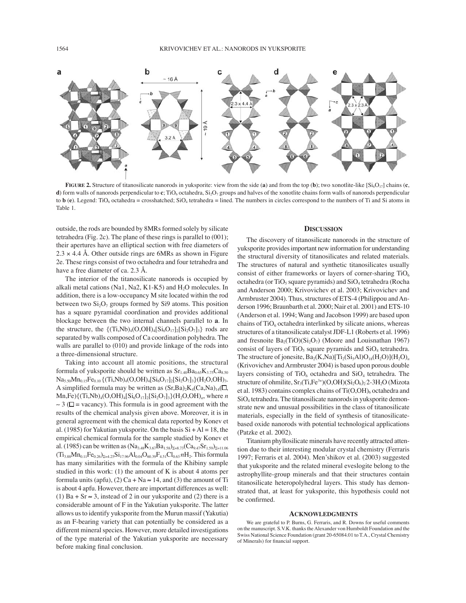

**FIGURE 2.** Structure of titanosilicate nanorods in yuksporite: view from the side (**a**) and from the top (**b**); two xonotlite-like  $[S_i_0O_{17}]$  chains (**c**, **d**) form walls of nanorods perpendicular to **c**; TiO<sub>6</sub> octahedra, Si<sub>2</sub>O<sub>7</sub> groups and halves of the xonotlite chains form walls of nanorods perpendicular to  $\mathbf{b}$  (**e**). Legend: TiO<sub>6</sub> octahedra = crosshatched; SiO<sub>4</sub> tetrahedra = lined. The numbers in circles correspond to the numbers of Ti and Si atoms in Table 1.

outside, the rods are bounded by 8MRs formed solely by silicate tetrahedra (Fig. 2c). The plane of these rings is parallel to (001); their apertures have an elliptical section with free diameters of  $2.3 \times 4.4$  Å. Other outside rings are 6MRs as shown in Figure 2e. These rings consist of two octahedra and four tetrahedra and have a free diameter of ca. 2.3 Å.

The interior of the titanosilicate nanorods is occupied by alkali metal cations (Na1, Na2, K1-K5) and  $H<sub>2</sub>O$  molecules. In addition, there is a low-occupancy M site located within the rod between two  $Si<sub>2</sub>O<sub>7</sub>$  groups formed by Si9 atoms. This position has a square pyramidal coordination and provides additional blockage between the two internal channels parallel to **a**. In the structure, the  $\{(\text{Ti},\text{Nb})_4(\text{O},\text{OH})_4[\text{Si}_6\text{O}_{17}]_2[\text{Si}_2\text{O}_7]_3\}$  rods are separated by walls composed of Ca coordination polyhedra. The walls are parallel to (010) and provide linkage of the rods into a three-dimensional structure.

Taking into account all atomic positions, the structural formula of yuksporite should be written as  $Sr<sub>1.40</sub>Ba<sub>0.65</sub>K<sub>3.75</sub>Ca<sub>8.50</sub>$  $Na<sub>5.50</sub>Mn<sub>0.15</sub>Fe<sub>0.10</sub>$  {(Ti,Nb)<sub>4</sub>(O,OH)<sub>4</sub>[Si<sub>6</sub>O<sub>17</sub>]<sub>2</sub>[Si<sub>2</sub>O<sub>7</sub>]<sub>3</sub>}(H<sub>2</sub>O,OH)<sub>3</sub>. A simplified formula may be written as  $(Sr, Ba)_{2}K_{4}(Ca,Na)_{14}(\Box)$  $Mn$ ,Fe){ $(Ti, Nb)_{4}(O, OH)_{4}[Si_{6}O_{17}]_{2}[Si_{2}O_{7}]_{3}\} (H_{2}O, OH)_{n}$ , where *n*  $\sim$  3 ( $\Box$  = vacancy). This formula is in good agreement with the results of the chemical analysis given above. Moreover, it is in general agreement with the chemical data reported by Konev et al. (1985) for Yakutian yuksporite. On the basis  $Si + Al = 18$ , the empirical chemical formula for the sample studied by Konev et al. (1985) can be written as  $(Na_{3.48}K_{3.67}Ba_{1.58})_{\Sigma=8.73}(Ca_{9.47}Sr_{1.59})_{\Sigma=11.06}$  $(Ti_{3.88}Mn_{0.11}Fe_{0.26})_{\Sigma=4.25}Si_{17.96}Al_{0.04}O_{60.39}F_{4.51}Cl_{0.63}nH_2.$  This formula has many similarities with the formula of the Khibiny sample studied in this work:  $(1)$  the amount of K is about 4 atoms per formula units (apfu), (2) Ca + Na  $\approx$  14, and (3) the amount of Ti is about 4 apfu. However, there are important differences as well: (1) Ba + Sr  $\approx$  3, instead of 2 in our yuksporite and (2) there is a considerable amount of F in the Yakutian yuksporite. The latter allows us to identify yuksporite from the Murun massif (Yakutia) as an F-bearing variety that can potentially be considered as a different mineral species. However, more detailed investigations of the type material of the Yakutian yuksporite are necessary before making final conclusion.

#### **DISCUSSION**

The discovery of titanosilicate nanorods in the structure of yuksporite provides important new information for understanding the structural diversity of titanosilicates and related materials. The structures of natural and synthetic titanosilicates usually consist of either frameworks or layers of corner-sharing  $TiO<sub>6</sub>$ octahedra (or TiO<sub>5</sub> square pyramids) and  $SiO<sub>4</sub>$  tetrahedra (Rocha and Anderson 2000; Krivovichev et al. 2003; Krivovichev and Armbruster 2004). Thus, structures of ETS-4 (Philippou and Anderson 1996; Braunbarth et al. 2000; Nair et al. 2001) and ETS-10 (Anderson et al. 1994; Wang and Jacobson 1999) are based upon chains of  $TiO<sub>6</sub>$  octahedra interlinked by silicate anions, whereas structures of a titanosilicate catalyst JDF-L1 (Roberts et al. 1996) and fresnoite  $Ba_2(TiO)(Si_2O_7)$  (Moore and Louisnathan 1967) consist of layers of TiO<sub>5</sub> square pyramids and  $SiO<sub>4</sub>$  tetrahedra. The structure of jonesite,  $Ba_2(K,Na)[Ti_2(Si_5Al)O_{18}(H_2O)](H_2O)_n$ (Krivovichev and Armbruster 2004) is based upon porous double layers consisting of  $TiO_6$  octahedra and  $SiO_4$  tetrahedra. The structure of ohmilite,  $Sr_3(Ti,Fe^{3+})(O,OH)(Si_2O_6)_2$ 2-3H<sub>2</sub>O (Mizota et al. 1983) contains complex chains of  $Ti(O, OH)_{6}$  octahedra and SiO4 tetrahedra. The titanosilicate nanorods in yuksporite demonstrate new and unusual possibilities in the class of titanosilicate materials, especially in the field of synthesis of titanosilicatebased oxide nanorods with potential technological applications (Patzke et al. 2002).

Titanium phyllosilicate minerals have recently attracted attention due to their interesting modular crystal chemistry (Ferraris 1997; Ferraris et al. 2004). Men·shikov et al. (2003) suggested that yuksporite and the related mineral eveslogite belong to the astrophyllite-group minerals and that their structures contain titanosilicate heteropolyhedral layers. This study has demonstrated that, at least for yuksporite, this hypothesis could not be confirmed.

#### **ACKNOWLEDGMENTS**

We are grateful to P. Burns, G. Ferraris, and R. Downs for useful comments on the manuscript. S.V.K. thanks the Alexander von Humboldt Foundation and the Swiss National Science Foundation (grant 20-65084.01 to T.A., Crystal Chemistry of Minerals) for financial support.